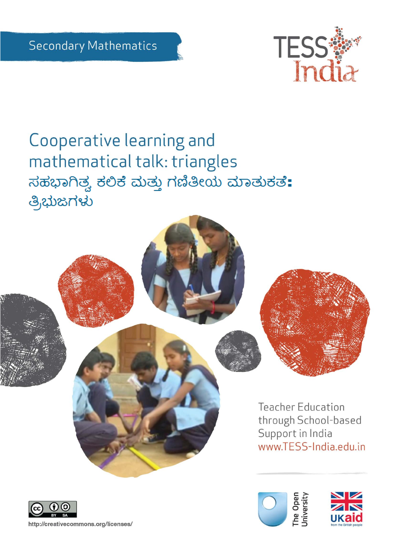

# Cooperative learning and mathematical talk: triangles ಸಹಭಾಗಿತ್ವ ಕಲಿಕೆ ಮತ್ತು ಗಣಿತೀಯ ಮಾತುಕತೆ: ತ್ರಿಭುಜಗಳು





The Open<br>University

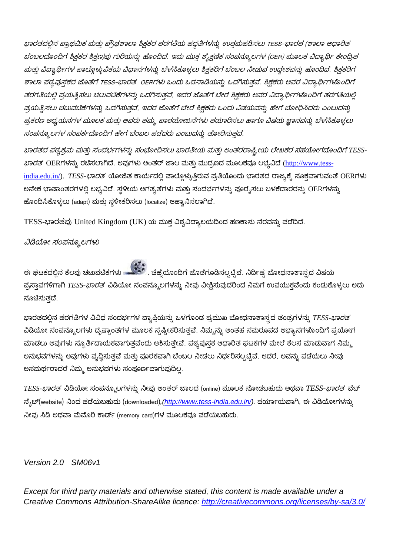ಭಾರತದಲ್ಲಿನ ಪ್ರಾಥಮಿಕ ಮತ್ತು ಪ್ರೌಢಶಾಲಾ ಶಿಕ್ಷಕರ ತರಗತಿಯ ಪದ್ಧತಿಗಳನ್ನು ಉತ್ತಮಪಡಿಸಲು TESS-ಭಾರತ (ಶಾಲಾ ಆಧಾರಿತ ಬೆಂಬಲದೊಂದಿಗೆ ಶ್ರಿಕ್ಷಕರ ಶ್ರಿಕ್ಷಣ)ವು ಗುರಿಯನ್ನು ಹೊಂದಿದೆ. ಇದು ಮುಕ್ತ ಶೈಕ್ಷಣಿಕ ಸಂಪನ್ಮೂಲಗಳ (OER) ಮೂಲಕ ವಿದ್ಯಾರ್ಥಿ ಕೇಂದ್ರಿತ ಮತ್ತು ವಿದ್ಯಾರ್ಥಿಗಳ ಪಾಲ್ಗೊಳ್ಳುವಿಕೆಯ ವಿಧಾನಗಳನ್ನು ಬೆಳೆಸಿಕೊಳ್ಳಲು ಶ್ರಿಕ್ಷಕರಿಗೆ ಬೆಂಬಲ ನೀಡುವ ಉದ್ದೇಶವನ್ನು ಹೊಂದಿದೆ. ಶ್ರಿಕ್ಷಕರಿಗೆ ಶಾಲಾ ಪಠ್ಯಪುಸ್ತಕದ ಜೊತೆಗೆ TESS-ಭಾರತ OERಗಳು ಒಂದು ಒಡನಾಡಿಯನ್ನು ಒದಗಿಸುತ್ತವೆ. ಶಿಕ್ಷಕರು ಅವರ ವಿದ್ಯಾರ್ಥಿಗಳೊಂದಿಗೆ ತರಗತಿಯಲ್ಲಿ ಪ್ರಯತ್ನಿಸಲು ಚಟುವಟಿಕೆಗಳನ್ನು ಒದಗಿಸುತ್ತವೆ, ಇದರ ಜೊತೆಗೆ ಬೇರೆ ಶ್ರಿಕ್ಷಕರು ಅವರ ವಿದ್ಯಾರ್ಥಿಗಳೊಂದಿಗೆ ತರಗತಿಯಲ್ಲ ಪ್ರಯತ್ನಿಸಲು ಚಟುವಟಿಕೆಗಳನ್ನು ಒದಗಿಸುತ್ತವೆ, ಇದರ ಜೊತೆಗೆ ಬೇರೆ ಶ್ರಿಕ್ಷಕರು ಒಂದು ವಿಷಯವನ್ನು ಹೇಗೆ ಬೋಧಿಸಿದರು ಎಂಬುದನ್ನು ಪ್ರಕರಣ ಅಧ್ಯಯನಗಳ ಮೂಲಕ ಮತ್ತು ಅವರು ತಮ್ಮ ಪಾಠಯೋಜನೆಗಳು ತಯಾರಿಸಲು ಹಾಗೂ ವಿಷಯ ಜ್ಞಾನವನ್ನು ಬೆಳೆಸಿಕೊಳ್ಳಲು ಸಂಪನ್ಮೂಲಗಳ ಸಂಪರ್ಕದೊಂದಿಗೆ ಹೇಗೆ ಬೆಂಬಲ ಪಡೆದರು ಎಂಬುದನ್ನು ತೋರಿಸುತದೆ.

ಭಾರತದ ಪಠ್ಯಕ್ರಮ ಮತ್ತು ಸಂದರ್ಭಗಳನ್ನು ಸಂಭೋದಿಸಲು ಭಾರತೀಯ ಮತ್ತು ಅಂತರರಾಷ್ಟ್ರೀಯ ಲೇಖಕರ ಸಹಯೋಗದೊಂದಿಗೆ TESS-ಭಾರತ OERಗಳನ್ನು ರಚಿಸಲಾಗಿದೆ. ಅವುಗಳು ಅಂತರ್ ಜಾಲ ಮತ್ತು ಮುದ್ರಣದ ಮೂಲಕವೂ ಲಭ್ಯವಿದೆ [\(http://www.tess](http://www.tess-india.edu.in/)[india.edu.in/\)](http://www.tess-india.edu.in/). *TESS-ಭಾರತ* ಯೋಜಿತ ಕಾರ್ಯದಲ್ಲಿ ಪಾಲ್ಗೊಳ್ಳುತ್ತಿರುವ ಪ್ರತಿಯೊಂದು ಭಾರತದ ರಾಜ್ಯಕ್ಕೆ ಸೂಕ್ತವಾಗುವಂತೆ OERಗಳು ಅನೇಕ ಭಾಷಾಂತರಗಳಲ್ಲಿ ಲಭ್ಯವಿದೆ. ಸ್ಥಳೀಯ ಅಗತ್ಯತೆಗಳು ಮತ್ತು ಸಂದರ್ಭಗಳನ್ನು ಪೂರೈಸಲು ಬಳಕೆದಾರರನ್ನು OERಗಳನ್ನು ಹೊಂದಿಸಿಕೊಳ್ಳಲು (adapt) ಮತ್ತು ಸ್ಥಳೀಕರಿಸಲು (localize) ಆಹ್ವಾನಿಸಲಾಗಿದೆ.

TESS-ಭಾರತವು United Kingdom (UK) ಯ ಮುಕ್ತ ವಿಶ್ವವಿದ್ಯಾಲಯದಿಂದ ಹಣಕಾಸು ನೆರವನ್ನು ಪಡೆದಿದೆ.

#### ವಿಡಿಯೋ ಸಂಪನ್ಮೂಲಗಳು

ಈ ಘಟಕದಲ್ಲಿನ ಕೆಲವು ಚಟುವಟಿಕೆಗಳು <u>ಮಾಡಿತು. ಚಿಹ್ನೆ</u>ಯೊಂದಿಗೆ ಜೊತೆಗೂಡಿಸಲ್ಪಟ್ಟಿವೆ. ನಿರ್ದಿಷ್ಟ ಬೋಧನಾಶಾಸ್ತ್ರದ ವಿಷಯ ಪ್ರಸ್ತಾಪಗಳಿಗಾಗಿ TESS-*ಭಾರತ* ವಿಡಿಯೋ ಸಂಪನ್ಮೂಲಗಳನ್ನು ನೀವು ವೀಕ್ಷಿಸುವುದರಿಂದ ನಿಮಗೆ ಉಪಯುಕ್ತವೆಂದು ಕಂಡುಕೊಳ್ಳಲು ಅದು ಸೂಚಿಸುತದೆ.

ಭಾರತದಲ್ಲಿನ ತರಗತಿಗಳ ವಿವಿಧ ಸಂದರ್ಭಗಳ ವ್ಯಾಪ್ತಿಯನ್ನು ಒಳಗೊಂಡ ಪ್ರಮುಖ ಬೋಧನಾಶಾಸ್ತ್ರದ ತಂತ್ರಗಳನ್ನು *TESS-ಭಾರತ* ವಿಡಿಯೋ ಸಂಪನ್ಮೂಲಗಳು ದೃಷ್ಟಾಂತಗಳ ಮೂಲಕ ಸೃಷ್ಟೀಕರಿಸುತ್ತವೆ. ನಿಮ್ಮನ್ನು ಅಂತಹ ಸಮರೂಪದ ಅಭ್ಯಾಸಗಳೊಂದಿಗೆ ಪ್ರಯೋಗ ಮಾಡಲು ಅವುಗಳು ಸ್ಫೂರ್ತಿದಾಯಕವಾಗುತ್ತವೆಂದು ಆಶಿಸುತ್ತೇವೆ. ಪಠ್ಯಪುಸ್ತಕ ಆಧಾರಿತ ಘಟಕಗಳ ಮೇಲೆ ಕೆಲಸ ಮಾಡುವಾಗ ನಿಮ್ಮ ಅನುಭವಗಳನ್ನು ಅವುಗಳು ವೃದ್ಧಿಸುತ್ತವೆ ಮತ್ತು ಪೂರಕವಾಗಿ ಬೆಂಬಲ ನೀಡಲು ನಿರ್ಧರಿಸಲ್ಪಟ್ಟಿವೆ. ಆದರೆ, ಅವನ್ನು ಪಡೆಯಲು ನೀವು ಅಸಮರ್ಥರಾದರೆ ನಿಮ್ಮ ಅನುಭವಗಳು ಸಂಪೂರ್ಣವಾಗುವುದಿಲ್ಲ.

*TESS- TESS-* ನ್ಯೆಟ್(website) ನಿಂದ ಪಡೆಯಬಹುದು (downloaded), (http://www.tess-india.edu.in/). ಪರ್ಯಾಯವಾಗಿ, ಈ ವಿಡಿಯೋಗಳನ್ನು ನೀವು ಸಿಡಿ ಅಥವಾ ಮೆಮೊರಿ ಕಾರ್ಡ್ (memory card)ಗಳ ಮೂಲಕವೂ ಪಡೆಯಬಹುದು.

#### *Version 2.0 SM06v1*

*Except for third party materials and otherwise stated, this content is made available under a Creative Commons Attribution-ShareAlike licence:<http://creativecommons.org/licenses/by-sa/3.0/>*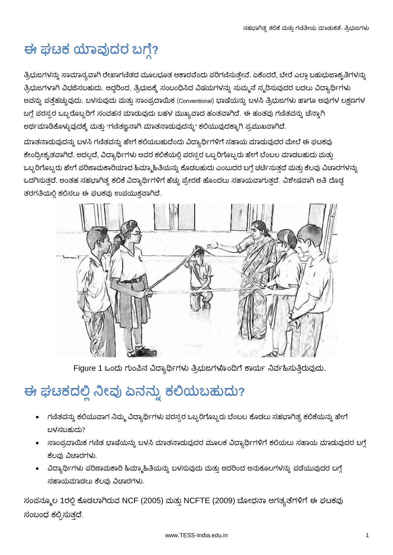# ಈ ಘಟಕ ಯಾವುದರ ಬಗ್ಗೆ?

ತ್ರಿಭುಜಗಳನ್ನು ಸಾಮಾನ್ಯವಾಗಿ ರೇಖಾಗಣಿತದ ಮೂಲಭೂತ ಆಕಾರವೆಂದು ಪರಿಗಣಿಸುತ್ತೇವೆ. ಏಕೆಂದರೆ, ಬೇರೆ ಎಲ್ಲಾ ಬಹುಭುಜಾಕೃತಿಗಳನ್ನು ತ್ರಿಭುಜಗಳಾಗಿ ವಿಭಜಿಸಬಹುದು. ಆದ್ದರಿಂದ, ತ್ರಿಭುಜಕ್ಕೆ ಸಂಬಂಧಿಸಿದ ವಿಷಯಗಳನ್ನು ಸುಮ್ಮನೆ ಸ್ಮರಿಸುವುದರ ಬದಲು ವಿದ್ಯಾರ್ಥಿಗಳು ಅವನ್ನು ಪತ್ತೆಹಚ್ಚುವುದು, ಬಳಸುವುದು ಮತ್ತು ಸಾಂಪ್ರದಾಯಿಕ (Conventional) ಭಾಷೆಯನ್ನು ಬಳಸಿ ತ್ರಿಭುಜಗಳು ಹಾಗೂ ಅವುಗಳ ಲಕ್ಷಣಗಳ ಬಗ್ಗೆ ಪರಸ್ಪರ ಒಬ್ಬರೊಬ್ಬರಿಗೆ ಸಂವಹನ ಮಾಡುವುದು ಬಹಳ ಮುಖ್ಯವಾದ ಹಂತವಾಗಿದೆ. ಈ ಹಂತವು ಗಣಿತವನ್ನು ಚೆನ್ನಾಗಿ ಅರ್ಥಮಾಡಿಕೊಳ್ಳುವುದಕ್ಕೆ ಮತ್ತು "ಗಣಿತಜ್ಞನಾಗಿ ಮಾತನಾಡುವುದನ್ನು" ಕಲಿಯುವುದಕ್ಕಾಗಿ ಪ್ರಮುಖವಾಗಿದೆ.

ಮಾತನಾಡುವುದನ್ನು ಬಳಸಿ ಗಣಿತವನ್ನು ಹೇಗೆ ಕಲಿಯಬಹುದೆಂದು ವಿದ್ಯಾರ್ಥಿಗಳಿಗೆ ಸಹಾಯ ಮಾಡುವುದರ ಮೇಲ<mark>ೆ</mark> ಈ ಘಟಕವು ಕೇಂದ್ರೀಕೃತವಾಗಿದೆ. ಅದಲ್ಲದೆ, ವಿದ್ಯಾರ್ಥಿಗಳು ಅವರ ಕಲಿಕೆಯಲ್ಲಿ ಪರಸ್ಪರ ಒಬ್ಬರಿಗೊಬ್ಬರು ಹೇಗೆ ಬೆಂಬಲ ಮಾಡಬಹುದು ಮತ್ತು ಒಬ್ಬರಿಗೊಬ್ಬರು ಹೇಗೆ ಪರಿಣಾಮಕಾರಿಯಾದ ಹಿಮ್ಮಾಹಿತಿಯನ್ನು ಕೊಡಬಹುದು ಎಂಬುದರ ಬಗ್ಗೆ ಚರ್ಚಿಸುತ್ತದೆ ಮತ್ತು ಕೆಲವು ವಿಚಾರಗಳನ್ನು ಒದಗಿಸುತ್ತದೆ. ಅಂತಹ ಸಹಭಾಗಿತ್ಸ ಕಲಿಕೆ ವಿದ್ಯಾರ್ಥಿಗಳಿಗೆ ಹೆಚ್ಚು ಪ್ರೇರಣೆ ಹೊಂದಲು ಸಹಾಯವಾಗುತ್ತದೆ. ವಿಶೇಷವಾಗಿ ಅತಿ ದೊಡ್ಡ ತರಗತಿಯಲ್ಲಿ ಕಲಿಸಲು ಈ ಘಟಕವು ಉಪಯುಕ್ತವಾಗಿದೆ.



Figure 1 ಒಂದು ಗುಂಪಿನ ವಿದ್ಯಾರ್ಥಿಗಳು ತ್ರಿಭುಜಗಳೊಂದಿಗೆ ಕಾರ್ಯ ನಿರ್ವಹಿಸುತ್ತಿರುವುದು.

# ಈ ಘಟಕದಲ್ಲಿ ನೀವು ಏನನ್ನು ಕಲಿಯಬಹುದು?

- ಗಣಿತವನ್ನು ಕಲಿಯುವಾಗ ನಿಮ್ಮ ವಿದ್ಯಾರ್ಥಿಗಳು ಪರಸ್ಪರ ಒಬ್ಬರಿಗೊಬ್ಬರು ಬೆಂಬಲ ಕೊಡಲು ಸಹಭಾಗಿತ್ವ ಕಲಿಕೆಯನ್ನು ಹೇಗೆ ಬಳಸಬಹುದು?
- ಸಾಂಪ್ರದಾಯಿಕ ಗಣಿತ ಭಾಷೆಯನ್ನು ಬಳಸಿ ಮಾತನಾಡುವುದರ ಮೂಲಕ ವಿದ್ಯಾರ್ಥಿಗಳಿಗೆ ಕಲಿಯಲು ಸಹಾಯ ಮಾಡುವುದರ ಬಗ್ಗೆ ಕೆಲವು ವಿಚಾರಗಳು.
- ವಿದ್ಯಾರ್ಥಿಗಳು ಪರಿಣಾಮಕಾರಿ ಹಿಮ್ಮಾಹಿತಿಯನ್ನು ಬಳಸುವುದು ಮತ್ತು ಅದರಿಂದ ಅನುಕೂಲಗಳನ್ನು ಪಡೆಯುವುದರ ಬಗ್ಗೆ ಸಹಾಯಮಾಡಲು ಕೆಲವು ವಿಚಾರಗಳು.

ಸಂಪನ್ಮೂಲ 1ರಲ್ಲಿ ಕೊಡಲಾಗಿರುವ NCF (2005) ಮತ್ತು NCFTE (2009) ಬೋಧನಾ ಅಗತ್ಯತೆಗಳಿಗೆ ಈ ಘಟಕವು ಸಂಬಂಧ ಕಲ್ಪಿಸುತ್ತದೆ.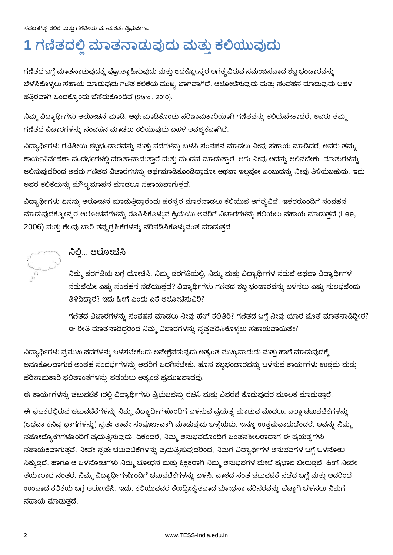# **1**

ಗಣಿತದ ಬಗ್ಗೆ ಮಾತನಾಡುವುದಕ್ಕೆ ಪ್ರೋತ್ಸಾಹಿಸುವುದು ಮತ್ತು ಅದಕ್ಕೋಸ್ಕರ ಅಗತ್ಯವಿರುವ ಸಮಂಜಸವಾದ ಶಬ್ದ ಭಂಡಾರವನ್ನು ಬೆಳೆಸಿಕೊಳ್ಳಲು ಸಹಾಯ ಮಾಡುವುದು ಗಣಿತ ಕಲಿಕೆಯ ಮುಖ್ಯ ಭಾಗವಾಗಿದೆ. ಆಲೋಚಿಸುವುದು ಮತ್ತು ಸಂವಹನ ಮಾಡುವುದು ಬಹಳ ಹತ್ತಿರವಾಗಿ ಒಂದಕ್ಕೊಂದು ಬೆಸೆದುಕೊಂಡಿವೆ (Sfarol, 2010).

ನಿಮ್ಮ ವಿದ್ಯಾರ್ಥಿಗಳು ಆಲೋಚನೆ ಮಾಡಿ, ಅರ್ಥಮಾಡಿಕೊಂಡು ಪರಿಣಾಮಕಾರಿಯಾಗಿ ಗಣಿತವನ್ನು ಕಲಿಯಬೇಕಾದರೆ, ಅವರು ತಮ್ಮ ಗಣಿತದ ವಿಚಾರಗಳನ್ನು ಸಂವಹನ ಮಾಡಲು ಕಲಿಯುವುದು ಬಹಳ ಅವಶ್ಯಕವಾಗಿದೆ.

ವಿದ್ಯಾರ್ಥಿಗಳು ಗಣಿತೀಯ ಶಬ್ದಭಂಡಾರವನ್ನು ಮತ್ತು ಪದಗಳನ್ನು ಬಳಸಿ ಸಂವಹನ ಮಾಡಲು ನೀವು ಸಹಾಯ ಮಾಡಿದರೆ, ಅವರು ತಮ್ಮ ಕಾರ್ಯನಿರ್ವಹಣಾ ಸಂದರ್ಭಗಳಲ್ಲಿ ಮಾತಾನಾಡುತ್ತಾರೆ ಮತ್ತು ಮಂಡನೆ ಮಾಡುತ್ತಾರೆ. ಆಗು ನೀವು ಅದನ್ನು ಆಲಿಸಬೇಕು. ಮಾತುಗಳನ್ನು ಆಲಿಸುವುದರಿಂದ ಅವರು ಗಣಿತದ ವಿಚಾರಗಳನ್ನು ಅರ್ಥಮಾಡಿಕೊಂಡಿದ್ದಾರೋ ಅಥವಾ ಇಲ್ಲವೋ ಎಂಬುದನ್ನು ನೀವು ತಿಳಿಯಬಹುದು. ಇದು ಅವರ ಕಲಿಕೆಯನ್ನು ಮೌಲ್ಯಮಾಪನ ಮಾಡಲೂ ಸಹಾಯವಾಗುತ್ತದೆ.

ವಿದ್ಯಾರ್ಥಿಗಳು ಏನನ್ನು ಆಲೋಚನೆ ಮಾಡುತ್ತಿದ್ದಾರೆಂದು ಪರಸ್ಪರ ಮಾತನಾಡಲು ಕಲಿಯುವ ಅಗತ್ಯವಿದೆ. ಇತರರೊಂದಿಗೆ ಸಂವಹನ ಮಾಡುವುದಕ್ಕೋಸ್ಕರ ಆಲೋಚನೆಗಳನ್ನು ರೂಪಿಸಿಕೊಳ್ಳುವ ಕ್ರಿಯೆಯು ಅವರಿಗೆ ವಿಚಾರಗಳನ್ನು ಕಲಿಯಲು ಸಹಾಯ ಮಾಡುತ್ತದೆ (Lee, 2006) ಮತ್ತು ಕೆಲವು ಬಾರಿ ತಪ್ಪುಗ್ರಹಿಕೆಗಳನ್ನು ಸರಿಪಡಿಸಿಕೊಳ್ಳುವಂತೆ ಮಾಡುತ್ತದೆ.



## ನಿಲ್ಲಿ... ಆಲೋಚಿಸಿ

ಾನಿಮ್ಮ ತರಗತಿಯ ಬಗ್ಗೆ ಯೋಚಿಸಿ. ನಿಮ್ಮ ತರಗತಿಯಲ್ಲಿ, ನಿಮ್ಮ ಮತ್ತು ವಿದ್ಯಾರ್ಥಿಗಳ ನಡುವೆ ಅಥವಾ ವಿದ್ಯಾರ್ಥಿಗಳ ನಡುವೆಯೇ ಎಷ್ಟು ಸಂವಹನ ನಡೆಯುತ್ತದೆ? ವಿದ್ಯಾರ್ಥಿಗಳು ಗಣಿತದ ಶಬ್ದ ಭಂಡಾರವನ್ನು ಬಳಸಲು ಎಷ್ಟು ಸುಲಭವೆಂದು ತಿಳಿದಿದ್ದಾರೆ? ಇದು ಹೀಗೆ ಎಂದು ಏಕೆ ಆಲೋಚಿಸುವಿರಿ?

ಗಣಿತದ ವಿಚಾರಗಳನ್ನು ಸಂವಹನ ಮಾಡಲು ನೀವು ಹೇಗೆ ಕಲಿತಿರಿ? ಗಣಿತದ ಬಗ್ಗೆ ನೀವು ಯಾರ ಜೊತೆ ಮಾತನಾಡಿದ್ದೀರ? ಈ ರೀತಿ ಮಾತನಾಡಿದ್ದರಿಂದ ನಿಮ್ಮ ವಿಚಾರಗಳನ್ನು ಸ್ಪಷ್ಟಪಡಿಸಿಕೊಳ್ಳಲು ಸಹಾಯವಾಯಿತೇ?

ವಿದ್ಯಾರ್ಥಿಗಳು ಪ್ರಮುಖ ಪದಗಳನ್ನು ಬಳಸಬೇಕೆಂದು ಅಪೇಕ್ಷೆಪಡುವುದು ಅತ್ಯಂತ ಮುಖ್ಯವಾದುದು ಮತ್ತು ಹಾಗೆ ಮಾಡುವುದಕ್ಕೆ ಅನೂಕೂಲವಾಗುವ ಅಂತಹ ಸಂದರ್ಭಗಳನ್ನು ಅವರಿಗೆ ಒದಗಿಸಬೇಕು. ಹೊಸ ಶಬ್ದಭಂಡಾರವನ್ನು ಬಳಸುವ ಕಾರ್ಯಗಳು ಉತ್ತಮ ಮತ್ತು ಪರಿಣಾಮಕಾರಿ ಫಲಿತಾಂಶಗಳನ್ನು ಪಡೆಯಲು ಅತ್ಯಂತ ಪ್ರಮುಖವಾದವು.

ಈ ಕಾರ್ಯಗಳನ್ನು ಚಟುವಟಿಕೆ 1ರಲ್ಲಿ ವಿದ್ಯಾರ್ಥಿಗಳು ತ್ರಿಭುಜವನ್ನು ರಚಿಸಿ ಮತ್ತು ವಿವರಣೆ ಕೊಡುವುದರ ಮೂಲಕ ಮಾಡುತ್ತಾರೆ.

ಈ ಘಟಕದಲ್ಲಿರುವ ಚಟುವಟಿಕೆಗಳನ್ನು ನಿಮ್ಮ ವಿದ್ಯಾರ್ಥಿಗಳೊಂದಿಗೆ ಬಳಸುವ ಪ್ರಯತ್ನ ಮಾಡುವ ಮೊದಲು, ಎಲ್ಲಾ ಚಟುವಟಿಕೆಗಳನ್ನು (ಅಥವಾ ಕನಿಷ್ಪ ಭಾಗಗಳನ್ನು) ಸ್ವತಃ ತಾವೇ ಸಂಪೂರ್ಣವಾಗಿ ಮಾಡುವುದು ಒಳ್ಳೆಯದು. ಇನ್ನೂ ಉತ್ತಮವಾದುದೆಂದರೆ, ಅವನ್ನು ನಿಮ್ಮ ಸಹೋದ್ಯೋಗಿಗಳೊಂದಿಗೆ ಪ್ರಯತ್ತಿಸುವುದು. ಏಕೆಂದರೆ, ನಿಮ್ಮ ಅನುಭವದೊಂದಿಗೆ ಚಿಂತನಶೀಲರಾದಾಗ ಈ ಪ್ರಯತ್ನಗಳು ಸಹಾಯಕವಾಗುತ್ತವೆ. ನೀವೇ ಸ್ವತಃ ಚಟುವಟಿಕೆಗಳನ್ನು ಪ್ರಯತ್ನಿಸುವುದರಿಂದ, ನಿಮಗೆ ವಿದ್ಯಾರ್ಥಿಗಳ ಅನುಭವಗಳ ಬಗ್ಗೆ ಒಳನೋಟ ಸಿಕ್ಕುತ್ತದೆ. ಹಾಗೂ ಆ ಒಳನೋಟಗಳು ನಿಮ್ಮ ಬೋಧನೆ ಮತ್ತು ಶಿಕ್ಷಕರಾಗಿ ನಿಮ್ಮ ಅನುಭವಗಳ ಮೇಲೆ ಪ್ರಭಾವ ಬೀರುತ್ತವೆ. ಹೀಗೆ ನೀವೇ ತಯಾರಾದ ನಂತರ, ನಿಮ್ಮ ವಿದ್ಯಾರ್ಥಿಗಳೊಂದಿಗೆ ಚಟುವಟಿಕೆಗಳನ್ನು ಬಳಸಿ. ಪಾಠದ ನಂತ ಚಟುವಟಿಕೆ ನಡೆದ ಬಗ್ಗೆ ಮತ್ತು ಅದರಿಂದ ಉಂಟಾದ ಕಲಿಕೆಯ ಬಗ್ಗೆ ಆಲೋಚಿಸಿ. ಇದು, ಕಲಿಯುವವರ ಕೇಂದ್ರೀಕೃತವಾದ ಬೋಧನಾ ಪರಿಸರವನ್ನು ಹೆಚ್ಚಾಗಿ ಬೆಳೆಸಲು ನಿಮಗೆ ಸಹಾಯ ಮಾದುತದೆ.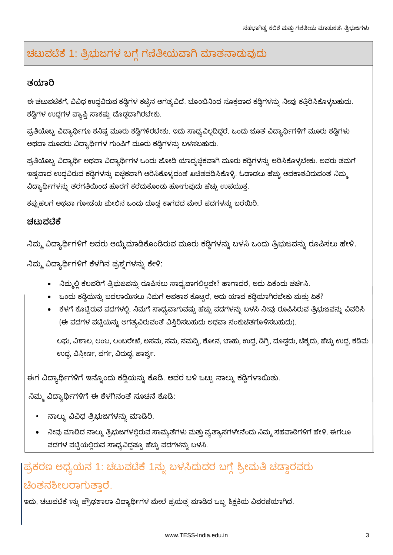## ಚಟುವಟಿಕೆ 1: ತ್ರಿಭುಜಗಳ ಬಗ್ಗೆ ಗಣಿತೀಯವಾಗಿ ಮಾತನಾಡುವುದು

### ತಯಾರಿ

ಈ ಚಟುವಟಿಕೆಗೆ, ವಿವಿಧ ಉದ್ಧವಿರುವ ಕಡ್ಗಿಗಳ ಕಟ್ಟಿನ ಅಗತ್ಯವಿದೆ. ಬೊಂಬಿನಿಂದ ಸೂಕ್ತವಾದ ಕಡ್ಗಿಗಳನ್ನು ನೀವು ಕತ್ತಿರಿಸಿಕೊಳ್ಳಬಹುದು. ಕಡ್ಡಿಗಳ ಉದ್ದಗಳ ವ್ಯಾಪ್ತಿ ಸಾಕಷ್ಟು ದೊಡ್ಡದಾಗಿರಬೇಕು.

ಪ್ರತಿಯೊಬ್ಬ ವಿದ್ಯಾರ್ಥಿಗೂ ಕನಿಷ್ಟ ಮೂರು ಕಡ್ಡಿಗಳಿರಬೇಕು. ಇದು ಸಾಧ್ಯವಿಲ್ಲದಿದ್ದರೆ, ಒಂದು ಜೊತೆ ವಿದ್ಯಾರ್ಥಿಗಳಿಗೆ ಮೂರು ಕಡ್ಡಿಗಳು ಅಥವಾ ಮೂವರು ವಿದ್ಯಾರ್ಥಿಗಳ ಗುಂಪಿಗೆ ಮೂರು ಕಡ್ಡಿಗಳನ್ನು ಬಳಸಬಹುದು.

ಪ್ರತಿಯೊಬ್ಬ ವಿದ್ಯಾರ್ಥಿ ಅಥವಾ ವಿದ್ಯಾರ್ಥಿಗಳ ಒಂದು ಜೋಡಿ ಯಾದೃಚ್ಛಿಕವಾಗಿ ಮೂರು ಕಡ್ಡಿಗಳನ್ನು ಆರಿಸಿಕೊಳ್ಳಬೇಕು. ಅವರು ತಮಗೆ ಇಷ್<mark>ವ</mark>ವಾದ ಉದ್ದವಿರುವ ಕಡ್ಡಿಗಳನ್ನು ಐಚ್ಛಿಕವಾಗಿ ಆರಿಸಿಕೊಳ್ಳದಂತೆ ಖಚಿತಪಡಿಸಿಕೊಳ್ಳಿ. ಓಡಾಡಲು ಹೆಚ್ಚು ಅವಕಾಶವಿರುವಂತೆ ನಿಮ್ಮ್ಗ ವಿದ್ಯಾರ್ಥಿಗಳನ್ನು ತರಗತಿಯಿಂದ ಹೊರಗೆ ಕರೆದುಕೊಂಡು ಹೋಗುವುದು ಹೆಚ್ಚು ಉಪಯುಕ್ತ.

ಕಪ್ಪುಹಲಗೆ ಅಥವಾ ಗೋಡೆಯ ಮೇಲಿನ ಒಂದು ದೊಡ್ಡ ಕಾಗದದ ಮೇಲೆ ಪದಗಳನ್ನು ಬರೆಯಿರಿ.

#### ಚಟುವಟಿಕೆ

ನಿಮ್ಮ ವಿದ್ಯಾರ್ಥಿಗಳಿಗೆ ಅವರು ಆಯ್ಕೆಮಾಡಿಕೊಂಡಿರುವ ಮೂರು ಕಡ್ಡಿಗಳನ್ನು ಬಳಸಿ ಒಂದು ತ್ರಿಭುಜವನ್ನು ರೂಪಿಸಲು ಹೇಳಿ.

ನಿಮ್ಮ ವಿದ್ಯಾರ್ಥಿಗಳಿಗೆ ಕೆಳಗಿನ ಪ್ರಶ್ನೆಗಳನ್ನು ಕೇಳಿ:

- ನಿಮ್ಮಲ್ಲಿ ಕೆಲವರಿಗೆ ತ್ರಿಭುಜವನ್ನು ರೂಪಿಸಲು ಸಾಧ್ಯವಾಗಲಿಲ್ಲವೇ? ಹಾಗಾದರೆ, ಅದು ಏಕೆಂದು ಚರ್ಚಿಸಿ.
- $\bullet$  ಒಂದು ಕಡ್ಡಿಯನ್ನು ಬದಲಾಯಿಸಲು ನಿಮಗೆ ಅವಕಾಶ ಕೊಟ್ಟರೆ, ಅದು ಯಾವ ಕಡ್ಡಿಯಾಗಿರಬೇಕು ಮತ್ತು ಏಕೆ?
- ಕೆಳಗೆ ಕೊಟ್ಟಿರುವ ಪದಗಳಲ್ಲಿ, ನಿಮಗೆ ಸಾಧ್ಯವಾಗುವಷ್ಟು ಹೆಚ್ಚು ಪದಗಳನ್ನು ಬಳಸಿ ನೀವು ರೂಪಿಸಿರುವ ತ್ರಿಭುಜವನ್ನು ವಿವರಿಸಿ (ಈ ಪದಗಳ ಪಟ್ಟಿಯನ್ನು ಅಗತ್ಯವಿರುವಂತೆ ವಿಸ್ತಿರಿಸಬಹುದು ಅಥವಾ ಸಂಕುಚಿತಗೊಳಿಸಬಹುದು).

ಲಘು, ವಿಶಾಲ, ಲಂಬ, ಲಂಬರೇಖೆ, ಅಸಮ, ಸಮ, ಸಮದ್ವಿ, ಕೋನ, ಬಾಹು, ಉದ್ದ, ಡಿಗ್ರಿ, ದೊಡ್ಡದು, ಚಿಕ್ಕದು, ಹೆಚ್ಚು ಉದ್ದ, ಕಡಿಮೆ ಉದ್ದ, ವಿಸ್ತೀರ್ಣ, ವರ್ಗ, ವಿರುದ್ಧ, ಪಾರ್ಶ್ವ.

ಈಗ ವಿದ್ಯಾರ್ಥಿಗಳಿಗೆ ಇನ್ನೊಂದು ಕಡ್ಡಿಯನ್ನು ಕೊಡಿ. ಅವರ ಬಳಿ ಒಟ್ಟು ನಾಲ್ಕು ಕಡ್ಡಿಗಳಾಯಿತು.

ನಿಮ್ಮ ವಿದ್ಯಾರ್ಥಿಗಳಿಗೆ ಈ ಕೆಳಗಿನಂತೆ ಸೂಚನೆ ಕೊಡಿ:

- ನಾಲ್ಕು ವಿವಿಧ ತ್ರಿಭುಜಗಳನ್ನು ಮಾಡಿರಿ.
- ನೀವು ಮಾಡಿದ ನಾಲ್ಕು ತ್ರಿಭುಜಗಳಲ್ಲಿರುವ ಸಾಮ್ಯತೆಗಳು ಮತ್ತು ವ್ಯತ್ಯಾಸಗಳೇನೆಂದು ನಿಮ್ಮ ಸಹಪಾಠಿಗಳಿಗೆ ಹೇಳಿ. ಈಗಲೂ ಪದಗಳ ಪಟ್ಟಿಯಲ್ಲಿರುವ ಸಾಧ್ಯವಿದ್ದಷ್ಟೂ ಹೆಚ್ಚು ಪದಗಳನ್ನು ಬಳಸಿ.

## ಪ್ರಕರಣ ಅಧ್ಯಯನ 1: ಚಟುವಟಿಕೆ 1ನ್ನು ಬಳಸಿದುದರ ಬಗ್ಗೆ ಶ್ರೀಮತಿ ಚಡ್ಡಾರವರು ಚಿಂತನಶೀಲರಾಗುತಾರೆ.

ಇದು, ಚಟುವಟಿಕೆ 1ನ್ನು ಪ್ರೌಢಶಾಲಾ ವಿದ್ಯಾರ್ಥಿಗಳ ಮೇಲೆ ಪ್ರಯತ್ನ ಮಾಡಿದ ಒಬ್ಬ ಶಿಕ್ಷಕಿಯ ವಿವರಣೆಯಾಗಿದೆ.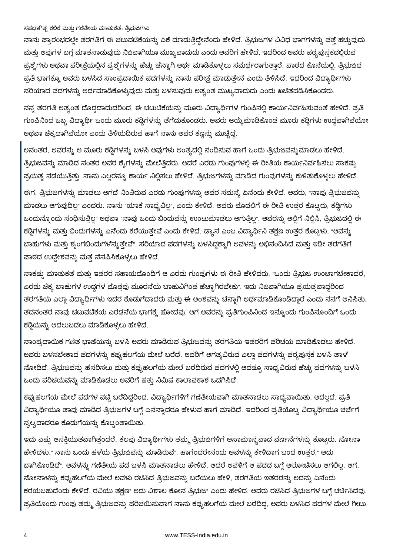ನಾನು ಪ್ರಾರಂಭದಲ್ಲೇ ತರಗತಿಗೆ ಈ ಚಟುವಟಿಕೆಯನ್ನು ಏಕೆ ಮಾಡುತ್ತಿದ್ದೇನೆಂದು ಹೇಳಿದೆ. ತ್ರಿಭುಜಗಳ ವಿವಿಧ ಭಾಗಗಳನ್ನು ಪತ್ತೆ ಹಚ್ಚುವುದು ಮತ್ತು ಅವುಗಳ ಬಗ್ಗೆ ಮಾತನಾಡುವುದು ನಿಜವಾಗಿಯೂ ಮುಖ್ಯವಾದುದು ಎಂದು ಅವರಿಗೆ ಹೇಳಿದೆ. ಇದರಿಂದ ಅವರು ಪಠ್ಯಪುಸ್ತಕದಲ್ಲಿರುವ ಪ್ರಶ್ನೆಗಳು ಅಥವಾ ಪರೀಕ್ಷೆಯಲ್ಲಿನ ಪ್ರಶ್ನೆಗಳನ್ನು ಹೆಚ್ಚು ಚೆನ್ನಾಗಿ ಅರ್ಥ ಮಾಡಿಕೊಳ್ಳಲು ಸಮರ್ಥರಾಗುತ್ತಾರೆ. ಪಾಠದ ಕೊನೆಯಲ್ಲಿ, ತ್ರಿಭುಜದ ಪ್ರತಿ ಭಾಗಕ್ಕೂ ಅವರು ಬಳಸಿದ ಸಾಂಪ್ರದಾಯಿಕ ಪದಗಳನ್ನು ನಾನು ಪರೀಕ್ಷೆ ಮಾಡುತ್ತೇನೆ ಎಂದು ತಿಳಿಸಿದೆ. ಇದರಿಂದ ವಿದ್ಯಾರ್ಥಿಗಳು ಸರಿಯಾದ ಪದಗಳನ್ನು ಅರ್ಥಮಾಡಿಕೊಳ್ಳುವುದು ಮತ್ತು ಬಳಸುವುದು ಅತ್ಯಂತ ಮುಖ್ಯವಾದುದು ಎಂದು ಖಚಿತಪಡಿಸಿಕೊಂಡರು.

ನನ್ನ ತರಗತಿ ಅತ್ಯಂತ ದೊಡ್ಡದಾದುದರಿಂದ, ಈ ಚಟುಟಿಕೆಯನ್ನು ಮೂರು ವಿದ್ಯಾರ್ಥಿಗಳ ಗುಂಪಿನಲ್ಲಿ ಕಾರ್ಯನಿರ್ವಹಿಸುವಂತೆ ಹೇಳಿದೆ. ಪ್ರತಿ ಗುಂಪಿನಿಂದ ಒಬ್ಬ ವಿದ್ಯಾರ್ಥಿ ಒಂದು ಮೂರು ಕಡ್ಡಿಗಳನ್ನು ತೆಗೆದುಕೊಂಡರು. ಅವರು ಆಯ್ಕೆಮಾಡಿಕೊಂಡ ಮೂರು ಕಡ್ಡಿಗಳು ಉದ್ದವಾಗಿವೆಯೋ ಅಥವಾ ಚಿಕ್ಕದಾಗಿವೆಯೋ ಎಂದು ತಿಳಿಯದಿರುವ ಹಾಗೆ ನಾನು ಅವರ ಕಣ್ಣನ್ನು ಮುಚ್ಚಿದ್ದೆ.

ಅನಂತರ, ಅವರನ್ನು ಆ ಮೂರು ಕಡ್ಡಿಗಳನ್ನು ಬಳಸಿ ಅವುಗಳು ಅಂತ್ಯದಲ್ಲಿ ಸಂಧಿಸುವ ಹಾಗೆ ಒಂದು ತ್ರಿಭುಜವನ್ನುಮಾಡಲು ಹೇಳಿದೆ. ತ್ರಿಭುಜವನ್ನು ಮಾಡಿದ ನಂತರ ಅವರ ಕೈಗಳನ್ನು ಮೇಲೆತ್ತಿದರು. ಆದರೆ ಎರಡು ಗುಂಪುಗಳಲ್ಲಿ ಈ ರೀತಿಯ ಕಾರ್ಯನಿರ್ವಹಿಸಲು ಸಾಕಷ್ಟು ಪ್ರಯತ್ನ ನಡೆಯುತ್ತಿತ್ತು. ನಾನು ಎಲ್ಲರನ್ನೂ ಕಾರ್ಯ ನಿಲ್ಲಿಸಲು ಹೇಳಿದೆ. ತ್ರಿಭುಜಗಳನ್ನು ಮಾಡಿದ ಗುಂಪುಗಳನ್ನು ಕುಳಿತುಕೊಳ್ಳಲು ಹೇಳಿದೆ.

ಈಗ, ತ್ರಿಭುಜಗಳನ್ನು ಮಾಡಲು ಆಗದೆ ನಿಂತಿರುವ ಎರಡು ಗುಂಪುಗಳನ್ನು ಅವರ ಸಮಸ್ಯೆ ಏನೆಂದು ಕೇಳಿದೆ. ಅವರು, "ನಾವು ತ್ರಿಭುಜವನ್ನು ಮಾಡಲು ಆಗುವುದಿಲ್ಲ" ಎಂದರು. ನಾನು "ಯಾಕೆ ಸಾಧ್ಯವಿಲ್ಲ", ಎಂದು ಕೇಳಿದೆ. ಅವರು ಮೊದಲಿಗೆ ಈ ರೀತಿ ಉತ್ತರ ಕೊಟ್ಟರು, ಕಡ್ಡಿಗಳು ಒಂದುನ್ನೊಂದು ಸಂಧಿಸುತ್ತಿಲ್ಲ" ಅಥವಾ "ನಾವು ಒಂದು ಬಿಂದುವನ್ನು ಉಂಟುಮಾಡಲು ಆಗುತ್ತಿಲ್ಲ". ಅವರನ್ನು ಅಲ್ಲಿಗೆ ನಿಲ್ಲಿಸಿ, ತ್ರಿಭುಜದಲ್ಲಿ ಈ ಕಡ್ಡಿಗಳನ್ನು ಮತ್ತು ಬಿಂದುಗಳನ್ನು ಏನೆಂದು ಕರೆಯುತ್ತೇವೆ ಎಂದು ಕೇಳಿದೆ. ಡ್ಯಾನ ಎಂಬ ವಿದ್ಯಾರ್ಥಿನಿ ತಕ್ಷಣ ಉತ್ತರ ಕೊಟ್ಟಳು, "ಅವನ್ನು ಬಾಹುಗಳು ಮತ್ತು ಶೃಂಗಬಿಂದುಗಳೆನ್ನುತ್ತೇವೆ". ಸರಿಯಾದ ಪದಗಳನ್ನು ಬಳಸಿದ್ದಕ್ಕಾಗಿ ಅವಳನ್ನು ಅಭಿನಂದಿಸಿದೆ ಮತ್ತು ಇಡೀ ತರಗತಿಗೆ ಪಾಠದ ಉದ್ದೇಶವನ್ನು ಮತ್ತೆ ನೆನಪಿಸಿಕೊಳ್ಳಲು ಹೇಳಿದೆ.

ಸಾಕಷ್ಟು ಮಾತುಕತೆ ಮತ್ತು ಇತರರ ಸಹಾಯದೊಂದಿಗೆ ಆ ಎರಡು ಗುಂಪುಗಳು ಈ ರೀತಿ ಹೇಳಿದರು, "ಒಂದು ತ್ರಿಭುಜ ಉಂಟಾಗಬೇಕಾದರೆ, ಎರಡು ಚೆಕ್ಕ ಬಾಹುಗಳ ಉದ್ದಗಳ ಮೊತ್ತವು ಮೂರನೆಯ ಬಾಹುವಿಗಿಂತ ಹೆಚ್ಚಾಗಿರಬೇಕು". ಇದು ನಿಜವಾಗಿಯೂ ಪ್ರಯತ್ತವಾದ್ದರಿಂದ ತರಗತಿಯ ಎಲ್ಲಾ ವಿದ್ಯಾರ್ಥಿಗಳು ಇದರ ಕೊಡುಗೆದಾದರು ಮತ್ತು ಈ ಅಂಶವನ್ನು ಚೆನ್ನಾಗಿ ಅರ್ಥಮಾಡಿಕೊಂಡಿದ್ದಾರೆ ಎಂದು ನನಗೆ ಅನಿಸಿತು. ತದನಂತರ ನಾವು ಚಟುವಟಿಕೆಯ ಎರಡನೆಯ ಭಾಗಕ್ಕೆ ಹೋದೆವು. ಆಗ ಅವರನ್ನು ಪ್ರತಿಗುಂಪಿನಿಂದ ಇನ್ನೊಂದು ಗುಂಪಿನೊಂದಿಗೆ ಒಂದು ಕಡ್ಡಿಯನ್ನು ಅದಲುಬದಲು ಮಾಡಿಕೊಳ್ಳಲು ಹೇಳಿದೆ.

ಸಾಂಪ್ರದಾಯಿಕ ಗಣಿತ ಭಾಷೆಯನ್ನು ಬಳಸಿ ಅವರು ಮಾಡಿರುವ ತ್ರಿಭುಜವನ್ನು ತರಗತಿಯ ಇತರರಿಗೆ ಪರಿಚಯ ಮಾಡಿಕೊಡಲು ಹೇಳಿದೆ. ಅವರು ಬಳಸಬೇಕಾದ ಪದಗಳನ್ನು ಕಪ್ಪುಹಲಗೆಯ ಮೇಲೆ ಬರೆದೆ. ಅವರಿಗೆ ಅಗತ್ಯವಿರುವ ಎಲ್ಲಾ ಪದಗಳನ್ನು ಪಠ್ಯಪುಸ್ತಕ ಬಳಸಿ ತಾಳ ನೋಡಿದೆ. ತ್ರಿಭುಜವನ್ನು ಹೆಸರಿಸಲು ಮತ್ತು ಕಪ್ಪುಹಲಗೆಯ ಮೇಲೆ ಬರೆದಿರುವ ಪದಗಳಲ್ಲಿ ಆದಷ್ಟೂ ಸಾಧ್ಯವಿರುವ ಹೆಚ್ಚು ಪದಗಳನ್ನು ಬಳಸಿ ಒಂದು ಪರಿಚಯವನ್ನು ಮಾಡಿಕೊಡಲು ಅವರಿಗೆ ಹತ್ತು ನಿಮಿಷ ಕಾಲಾವಕಾಶ ಒದಗಿಸಿದೆ.

ಕಪ್ಪುಹಲಗೆಯ ಮೇಲೆ ಪದಗಳ ಪಟ್ಟಿ ಬರೆದಿದ್ದರಿಂದ, ವಿದ್ಯಾರ್ಥಿಗಳಿಗೆ ಗಣಿತೀಯವಾಗಿ ಮಾತನಾಡಲು ಸಾಧ್ಯವಾಯಿತು. ಅದಲ್ಲದೆ, ಪ್ರತಿ ವಿದ್ಯಾರ್ಥಿಯೂ ತಾವು ಮಾಡಿದ ತ್ರಿಭುಜಗಳ ಬಗ್ಗೆ ಏನನ್ನಾದರೂ ಹೇಳುವ ಹಾಗೆ ಮಾಡಿದೆ. ಇದರಿಂದ ಪ್ರತಿಯೊಬ್ಬ ವಿದ್ಯಾರ್ಥಿಯೂ ಚರ್ಚೆಗೆ ಸ್ವಲ್ವವಾದರೂ ಕೊಡುಗೆಯನ್ನು ಕೊಟ್ಟಂತಾಯಿತು.

ಇದು ಎಷ್ಟು ಆಸಕ್ತಿಯುತವಾಗಿತ್ತೆಂದರೆ, ಕೆಲವು ವಿದ್ಯಾರ್ಥಿಗಳು ತಮ್ಮ ತ್ರಿಭುಜಗಳಿಗೆ ಅಸಾಮಾನ್ಯವಾದ ವರ್ಣನೆಗಳನ್ನು ಕೊಟ್ಟರು. ಸೋನಾ ಹೇಳಿದಳು," ನಾನು ಒಂದು ಹಳೆಯ ತ್ರಿಭುಜವನ್ನು ಮಾಡಿರುವೆ". ಹಾಗೆಂದರೇನೆಂದು ಅವಳನ್ನು ಕೇಳಿದಾಗ ಬಂದ ಉತ್ತರ," ಅದು ಬಾಗಿಕೊಂಡಿದೆ". ಅವಳನ್ನು ಗಣಿತೀಯ ಪದ ಬಳಸಿ ಮಾತನಾಡಲು ಹೇಳಿದೆ, ಆದರೆ ಅವಳಿಗೆ ಆ ಪದದ ಬಗ್ಗೆ ಆಲೋಚಿಸಲು ಆಗಲಿಲ್ಲ. ಆಗ, ಸೋನಾಳನ್ನು ಕಪ್ಪುಹಲಗೆಯ ಮೇಲೆ ಅವಳು ರಚಿಸಿದ ತ್ರಿಭುಜವನ್ನು ಬರೆಯಲು ಹೇಳಿ, ತರಗತಿಯ ಇತರರನ್ನು ಅದನ್ನು ಏನೆಂದು ಕರೆಯಬಹುದೆಂದು ಕೇಳಿದೆ. ರವಿಯು ತಕ್ಷಣ" ಅದು ವಿಶಾಲ ಕೋನ ತ್ರಿಭುಜ" ಎಂದು ಹೇಳಿದ. ಅವರು ರಚೆಸಿದ ತ್ರಿಭುಜಗಳ ಬಗ್ಗೆ ಚರ್ಚಿಸಿದೆವು. ಪ್ರತಿಯೊಂದು ಗುಂಪು ತಮ್ಮ ತ್ರಿಭುಜವನ್ನು ಪರಿಚಯಿಸುವಾಗ ನಾನು ಕಪ್ಪುಹಲಗೆಯ ಮೇಲೆ ಬರೆದಿದ್ದ, ಅವರು ಬಳಸಿದ ಪದಗಳ ಮೇಲೆ ಗೀಟು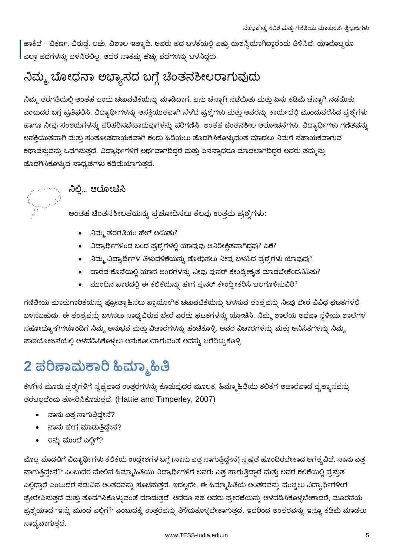ಹಾಕಿದೆ – ವಿಕರ್ಣ, ವಿರುದ್ಧ, ಲಘು, ವಿಶಾಲ ಇತ್ಯಾದಿ. ಅವರು ಪದ ಬಳಕೆಯಲ್ಲಿ ಎಷ್ಟು ಯಶಸ್ವಿಯಾಗಿದ್ದಾರೆಂದು ತಿಳಿಸಿದೆ. ಯಾರೊಬ್ಬರೂ | ಎಲ್ಲಾ ಪದಗಳನ್ನು ಬಳಸಿರಲಿಲ್ಲ, ಆದರೆ ಸಾಕಷ್ಟು ಹೆಚ್ಚು ಪದಗಳನ್ನು ಬಳಸಿದ್ದರು.

## ನಿಮ್ಮ ಬೋಧನಾ ಅಭ್ಯಾಸದ ಬಗ್ಗೆ ಚಿಂತನಶೀಲರಾಗುವುದು

ನಿಮ್ಮ ತರಗತಿಯಲ್ಲಿ ಅಂತಹ ಒಂದು ಚಟುವಟಿಕೆಯನ್ನು ಮಾಡಿದಾಗ, ಏನು ಚೆನ್ನಾಗಿ ನಡೆಯಿತು ಮತ್ತು ಏನು ಕಡಿಮೆ ಚೆನ್ನಾಗಿ ನಡೆಯಿತು ಎಂಬುದರ ಬಗ್ಗೆ ಪ್ರತಿಫಲಿಸಿ. ವಿದ್ಯಾರ್ಥಿಗಳನ್ನು ಆಸಕ್ತಿಯುತವಾಗಿ ಸೆಳೆದ ಪ್ರಶ್ನೆಗಳು ಮತ್ತು ಅವರನ್ನು ಕಾರ್ಯದಲ್ಲಿ ಮುಂದುವರೆಸಿದ ಪ್ರಶ್ನೆಗಳು ಹಾಗೂ ನೀವು ಸಂಶಯಗಳನ್ನು ಪರಿಹರಿಸಬೇಕಾದುವುಗಳನ್ನು ಪರಿಗಣಿಸಿ. ಅಂತಹ ಚಿಂತನಶೀಲ ಆಲೋಚನೆಗಳು, ವಿದ್ಯಾರ್ಥಿಗಳು ಗಣಿತವನ್ನು ಆಸಕಿಯುತವಾಗಿ ಮತ್ತು ಸಂತೋಷದಾಯಕವಾಗಿ ಕಂಡು ಹಿಡಿಯಲು ತೊಡಗಿಸಿಕೊಳ್ಳುವಂತೆ ಮಾಡಲು ನಿಮಗೆ ಸಹಾಯಕವಾಗುವ ಕಥಾವಸ್ತುವನ್ನು ಒದಗಿಸುತ್ತದೆ. ವಿದ್ಯಾರ್ಥಿಗಳಿಗೆ ಅರ್ಥವಾಗದಿದ್ದರೆ ಮತ್ತು ಏನನ್ನಾದರೂ ಮಾಡಲಾಗದಿದ್ದರೆ ಅವರು ತಮ್ಮನ್ನು ತೊಡಗಿಸಿಕೊಳ್ಳುವ ಸಾಧ್ಯತೆಗಳು ಕಡಿಮೆಯಾಗುತ್ತವೆ.



## ನಿಲ್ಲಿ... ಆಲೋಚಿಸಿ

ಅಂತಹ ಚೆಂತನಶೀಲತೆಯನ್ನು ಪ್ರಚೋದಿಸಲು ಕೆಲವು ಉತ್ತಮ ಪ್ರಶ್ನೆಗಳು:

- ನಿಮ್ಮ ತರಗತಿಯು ಹೇಗೆ ಆಯಿತು?
- ವಿದ್ಯಾರ್ಥಿಗಳಿಂದ ಬಂದ ಪ್ರಶ್ನೆಗಳಲ್ಲಿ ಯಾವುವು ಅನಿರೀಕ್ಷಿತವಾಗಿದ್ದವು? ಏಕೆ?
- ನಿಮ್ಮ ವಿದ್ಯಾರ್ಥಿಗಳ ತಿಳುವಳಿಕೆಯನ್ನು ಶೋಧಿಸಲು ನೀವು ಬಳಸಿದ ಪ್ರಶ್ನೆಗಳು ಯಾವುವು?
- ಪಾಠದ ಕೊನೆಯಲ್ಲಿ ಯಾವ ಅಂಶಗಳನ್ನು ನೀವು ಪುನರ್ ಕೇಂದ್ರೀಕೃತ ಮಾಡಬೇಕೆಂದನಿಸಿತು?
- ಮುಂದಿನ ಪಾಠದಲ್ಲಿ ಈ ಕಲಿಕೆಯನ್ನು ಹೇಗೆ ಪುನರ್ ಕೇಂದ್ರೀಕರಿಸಿ ಬಲಗೊಳಿಸುವಿರಿ?

ಗಣಿತೀಯ ಮಾತುಗಾರಿಕೆಯನ್ನು ಪ್ರೋತ್ಸಾಹಿಸಲು ಪ್ರಾಯೋಗಿಕ ಚಟುವಟಿಕೆಯನ್ನು ಬಳಸುವ ತಂತ್ರವನ್ನು ನೀವು ಬೇರೆ ವಿವಿಧ ಘಟಕಗಳಲ್ಲಿ ಬಳಸಬಹುದು. ಈ ತಂತ್ರವನ್ನು ಬಳಸಲು ಸಾಧ್ಯವಿರುವ ಬೇರೆ ಎರಡು ಘಟಕಗಳನ್ನು ಯೋಚಿಸಿ. ನಿಮ್ಮ ಶಾಲೆಯ ಅಥವಾ ಸ್ಥಳೀಯ ಶಾಲೆಗಳ ಸಹೋದ್ಯೋಗಿಗಳೊಂದಿಗೆ ನಿಮ್ಮ ಅನುಭವ ಮತ್ತು ವಿಚಾರಗಳನ್ನು ಹಂಚಿಕೊಳ್ಳಿ. ಅವರ ವಿಚಾರಗಳನ್ನು ಮತ್ತು ಅನಿಸಿಕೆಗಳನ್ನು ನಿಮ್ಮ ಪಾಠಯೋಜನೆಯಲ್ಲಿ ಅಳವಡಿಸಿಕೊಳ್ಳಲು ಅನುಕೂಲವಾಗುವಂತೆ ಅವನ್ನು ಬರೆದಿಟ್ಟುಕೊಳ್ಳಿ.

# 2 ಪರಿಣಾಮಕಾರಿ ಹಿಮ್ಮಾಹಿತಿ

ಕೆಳಗಿನ ಮೂರು ಪ್ರಶ್ನೆಗಳಿಗೆ ಸ್ವಷ್ಟವಾದ ಉತ್ತರಗಳನ್ನು ಕೊಡುವುದರ ಮೂಲಕ, ಹಿಮ್ಮಾಹಿತಿಯು ಕಲಿಕೆಗೆ ಅಪಾರವಾದ ವ್ಯತ್ಯಾಸವನ್ನು ತರಬಲ್ಲದೆಂದು ತೋರಿಸಿಕೊಡುತ್ತದೆ. (Hattie and Timperley, 2007)

- ನಾನು ಎತ ಸಾಗುತಿದ್ದೇನೆ?
- ನಾನು ಹೇಗೆ ಮಾಡುತ್ತಿದ್ದೇನೆ?
- ಇನ್ನು ಮುಂದೆ ಎಲ್ಲಿಗೆ?

ಮೊಟ್ಟ ಮೊದಲಿಗೆ ವಿದ್ಯಾರ್ಥಿಗಳು ಕಲಿಕೆಯ ಉದ್ದೇಶಗಳ ಬಗ್ಗೆ (ನಾನು ಎತ್ತ ಸಾಗುತ್ತಿದ್ದೇನೆ) ಸ್ಪಷ್ಟತೆ ಹೊಂದಿರಬೇಕಾದ ಅಗತ್ಯವಿದೆ. ನಾನು ಎತ್ತ ಸಾಗುತ್ತಿದ್ದೇನೆ?" ಎಂಬುದರ ಮೇಲಿನ ಹಿಮ್ಮಾಹಿತಿಯು ವಿದ್ಯಾರ್ಥಿಗಳಿಗೆ ಅವರು ಎತ್ತ ಸಾಗುತ್ತಿದ್ದಾರೆ ಮತ್ತು ಅವರ ಕಲಿಕೆಯಲ್ಲಿ ಪ್ರಸ್ತುತ ಎಲ್ಲಿದ್ದಾರೆ ಎಂಬುದರ ನಡುವಿನ ಅಂತರವನ್ನು ಸೂಚಿಸುತ್ತದೆ. ಇದಲ್ಲದೇ, ಈ ಹಿಮ್ಮಾಹಿತಿಯ ಅಂತರವನ್ನು ಮುಚ್ಚಲು ವಿದ್ಯಾರ್ಥಿಗಳೀಗೆ ಪ್ರೇರೇಪಿಸುತ್ತದೆ ಮತ್ತು ತೊಡಗಿಸಿಕೊಳ್ಳುವಂತೆ ಮಾಡುತ್ತದೆ. ಆದರೂ ಸಹ ಅವರು ಪ್ರೇರಣೆಯನ್ನು ಅಳವಡಿಸಿಕೊಳ್ಳಬೇಕಾದರೆ, ಮೂರನೆಯ ಪ್ರಶ್ನೆಯಾದ "ಇನ್ನು ಮುಂದೆ ಎಲ್ಲಿಗೆ?" ಎಂಬುದಕ್ಕೆ ಉತ್ತರವನ್ನು ತಿಳಿದುಕೊಳ್ಳಬೇಕಾಗುತ್ತದೆ. ಇದರಿಂದ ಅಂತರವನ್ನು ಇನ್ನೂ ಕಡಿಮೆ ಮಾಡಲು ಸಾಧ್ಯವಾಗುತ್ತದೆ.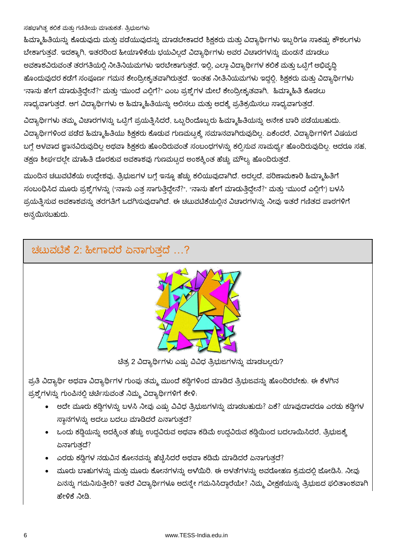ಹಿಮ್ಮಾಹಿತಿಯನ್ನು ಕೊಡುವುದು ಮತ್ತು ಪಡೆಯುವುದನ್ನು ಮಾಡಬೇಕಾದರೆ ಶಿಕ್ಷಕರು ಮತ್ತು ವಿದ್ಯಾರ್ಥಿಗಳು ಇಬ್ಬರಿಗೂ ಸಾಕಷ್ಟು ಕೌಶಲಗಳು ಬೇಕಾಗುತ್ತವೆ. ಇದಕ್ಕಾಗಿ, ಇತರರಿಂದ ಹೀಯಾಳಿಕೆಯ ಭಯವಿಲ್ಲದೆ ವಿದ್ಯಾರ್ಥಿಗಳು ಅವರ ವಿಚಾರಗಳನ್ನು ಮಂಡನೆ ಮಾಡಲು ಅವಕಾಶವಿರುವಂತೆ ತರಗತಿಯಲ್ಲಿ ನೀತಿನಿಯಮಗಳು ಇರಬೇಕಾಗುತ್ತದೆ. ಇಲ್ಲಿ, ಎಲ್ಲಾ ವಿದ್ಯಾರ್ಥಿಗಳ ಕಲಿಕೆ ಮತ್ತು ಒಟ್ಟಿಗೆ ಅಭಿವೃದ್ಧಿ ಹೊಂದುವುದರ ಕಡೆಗೆ ಸಂಪೂರ್ಣ ಗಮನ ಕೇಂದ್ರೀಕೃತವಾಗಿರುತ್ತದೆ. ಇಂತಹ ನೀತಿನಿಯಮಗಳು ಇದ್ದಲ್ಲಿ, ಶಿಕ್ಷಕರು ಮತ್ತು ವಿದ್ಯಾರ್ಥಿಗಳು "ನಾನು ಹೇಗೆ ಮಾಡುತ್ತಿದ್ದೇನೆ?" ಮತ್ತು "ಮುಂದೆ ಎಲ್ಲಿಗೆ?" ಎಂಬ ಪ್ರಶ್ನೆಗಳ ಮೇಲೆ ಕೇಂದ್ರೀಕೃತವಾಗಿ, ಹಿಮ್ಮಾಹಿತಿ ಕೊಡಲು ಸಾಧ್ಯವಾಗುತ್ತದೆ. ಆಗ ವಿದ್ಯಾರ್ಥಿಗಳು ಆ ಹಿಮ್ಮಾಹಿತಿಯನ್ನು ಆಲಿಸಲು ಮತ್ತು ಅದಕ್ಕೆ ಪ್ರತಿಕ್ರಯಿಸಲು ಸಾಧ್ಯವಾಗುತ್ತದೆ.

ವಿದ್ಯಾರ್ಥಿಗಳು ತಮ್ಮ ವಿಚಾರಗಳನ್ನು ಒಟ್ಟಿಗೆ ಪ್ರಯತ್ನಿಸಿದರೆ, ಒಬ್ಬರಿಂದೊಬ್ಬರು ಹಿಮ್ಮಾಹಿತಿಯನ್ನು ಅನೇಕ ಬಾರಿ ಪಡೆಯಬಹುದು. ವಿದ್ಯಾರ್ಥಿಗಳಿಂದ ಪಡೆದ ಹಿಮ್ಮಾಹಿತಿಯು ಶಿಕ್ಷಕರು ಕೊಡುವ ಗುಣಮಟ್ಟಕ್ಕೆ ಸಮಾನವಾಗಿರುವುದಿಲ್ಲ. ಏಕೆಂದರೆ, ವಿದ್ಯಾರ್ಥಿಗಳಿಗೆ ವಿಷಯದ ಬಗ್ಗೆ ಆಳವಾದ ಜ್ಞಾನವಿರುವುದಿಲ್ಲ ಅಥವಾ ಶಿಕ್ಷಕರು ಹೊಂದಿರುವಂತೆ ಸಂಬಂಧಗಳನ್ನು ಕಲ್ಪಿಸುವ ಸಾಮರ್ಥ್ಯ ಹೊಂದಿರುವುದಿಲ್ಲ. ಆದರೂ ಸಹ, ತಕ್ಷಣ ಶೀರ್ಘದಲ್ಲೇ ಮಾಹಿತಿ ದೊರಕುವ ಅವಕಾಶವು ಗುಣಮಟ್ಟದ ಅಂಶಕ್ಕಿಂತ ಹೆಚ್ಚು ಮೌಲ್ಯ ಹೊಂದಿರುತ್ತದೆ.

ಮುಂದಿನ ಚಟುವಟಿಕೆಯ ಉದ್ದೇಶವು, ತ್ರಿಭುಜಗಳ ಬಗ್ಗೆ ಇನ್ನೂ ಹೆಚ್ಚು ಕಲಿಯುವುದಾಗಿದೆ. ಅದಲ್ಲದೆ, ಪರಿಣಾಮಕಾರಿ ಹಿಮ್ಮಾಹಿತಿಗೆ ಸಂಬಂಧಿಸಿದ ಮೂರು ಪ್ರಶ್ನೆಗಳನ್ನು ("ನಾನು ಎತ್ತ ಸಾಗುತ್ತಿದ್ದೇನೆ?", "ನಾನು ಹೇಗೆ ಮಾಡುತ್ತಿದ್ದೇನೆ?" ಮತ್ತು "ಮುಂದೆ ಎಲ್ಲಿಗೆ") ಬಳಸಿ ಪ್ರಯತ್ತಿಸುವ ಅವಕಾಶವನ್ನು ತರಗತಿಗೆ ಒದಗಿಸುವುದಾಗಿದೆ. ಈ ಚಟುವಟಿಕೆಯಲ್ಲಿನ ವಿಚಾರಗಳನ್ನು ನೀವು ಇತರೆ ಗಣಿತದ ಪಾಠಗಳಿಗೆ ಅನ್ರಯಿಸಬಹುದು.

### ಚಟುವಟಿಕೆ 2: ಹೀಗಾದರೆ ಏನಾಗುತ್ತದೆ ...?



ಚಿತ್ರ 2 ವಿದ್ಯಾರ್ಥಿಗಳು ಎಷ್ಟು ವಿವಿಧ ತ್ರಿಭುಜಗಳನ್ನು ಮಾಡಬಲ್ಲರು?

ಪ್ರತಿ ವಿದ್ಯಾರ್ಥಿ ಅಥವಾ ವಿದ್ಯಾರ್ಥಿಗಳ ಗುಂಪು ತಮ್ಮ ಮುಂದೆ ಕಡ್ಡಿಗಳಿಂದ ಮಾಡಿದ ತ್ರಿಭುಜವನ್ನು ಹೊಂದಿರಬೇಕು. ಈ ಕೆಳಗಿನ ಪ್ರಶ್ನೆಗಳನ್ನು ಗುಂಪಿನಲ್ಲಿ ಚರ್ಚಿಸುವಂತೆ ನಿಮ್ಮ ವಿದ್ಯಾರ್ಥಿಗಳಿಗೆ ಕೇಳಿ.

- ಅದೇ ಮೂರು ಕಡ್ಡಿಗಳನ್ನು ಬಳಸಿ ನೀವು ಎಷ್ಟು ವಿವಿಧ ತ್ರಿಭುಜಗಳನ್ನು ಮಾಡಬಹುದು? ಏಕೆ? ಯಾವುದಾದರೂ ಎರಡು ಕಡ್ಡಿಗಳ .ಸ್ಥಾನಗಳನ್ನು ಅದಲು ಬದಲು ಮಾಡಿದರೆ ಏನಾಗುತ್ತದೆ?
- ಒಂದು ಕಡ್ಗಿಯನ್ನು ಅದಕ್ಕಿಂತ ಹೆಚ್ಚು ಉದ್ದವಿರುವ ಅಥವಾ ಕಡಿಮೆ ಉದ್ದವಿರುವ ಕಡ್ಡಿಯಿಂದ ಬದಲಾಯಿಸಿದರೆ, ತ್ರಿಭುಜಕ್ಕೆ ಏನಾಗುತ್ತದೆ?
- ಎರಡು ಕಡ್ಗಿಗಳ ನಡುವಿನ ಕೋನವನ್ನು ಹೆಚ್ಚಿಸಿದರೆ ಅಥವಾ ಕಡಿಮೆ ಮಾಡಿದರೆ ಏನಾಗುತ್ತದೆ?
- ಮೂರು ಬಾಹುಗಳನ್ನು ಮತ್ತು ಮೂರು ಕೋನಗಳನ್ನು ಅಳೆಯಿರಿ. ಈ ಅಳತೆಗಳನ್ನು ಅವರೋಹಣ ಕ್ರಮದಲ್ಲಿ ಜೋಡಿಸಿ. ನೀವು `ಏನನ್ನು ಗಮನಿಸುತ್ತೀರಿ? ಇತರೆ ವಿದ್ಯಾರ್ಥಿಗಳೂ ಅದನ್ನೇ ಗಮನಿಸಿದ್ದಾರೆಯೇ? ನಿಮ್ಮ ವೀಕ್ಷಣೆಯನ್ನು ತ್ರಿಭುಜದ ಫಲಿತಾಂಶವಾಗಿ ಹೇಳಿಕೆ ನೀಡಿ.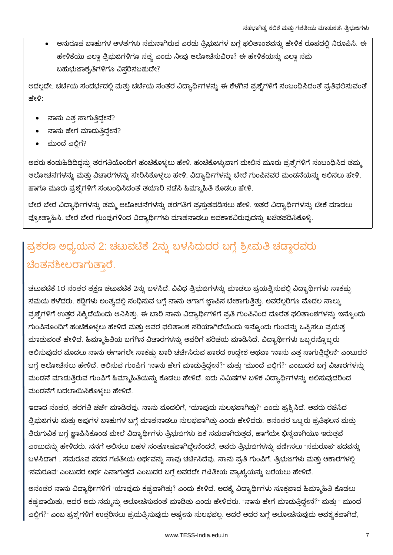ಅನುರೂಪ ಬಾಹುಗಳ ಅಳತೆಗಳು ಸಮನಾಗಿರುವ ಎರಡು ತ್ರಿಭುಜಗಳ ಬಗ್ಗೆ ಫಲಿತಾಂಶವನ್ನು ಹೇಳಿಕೆ ರೂಪದಲ್ಲಿ ನಿರೂಪಿಸಿ. ಈ ಹೇಳಿಕೆಯು ಎಲ್ಲಾ ತ್ರಿಭುಜಗಳಿಗೂ ಸತ್ಯ ಎಂದು ನೀವು ಆಲೋಚಿಸುವಿರಾ? ಈ ಹೇಳಿಕೆಯನ್ನು ಎಲ್ಲಾ ಸಮ ಬಹುಭುಜಾಕೃತಿಗಳಿಗೂ ವಿಸ್ತರಿಸಬಹುದೇ?

ಅದಲ್ಲದೇ, ಚರ್ಚೆಯ ಸಂದರ್ಭದಲ್ಲಿ ಮತ್ತು ಚರ್ಚೆಯ ನಂತರ ವಿದ್ಯಾರ್ಥಿಗಳನ್ನು ಈ ಕೆಳಗಿನ ಪ್ರಶ್ನೆಗಳಿಗೆ ಸಂಬಂಧಿಸಿದಂತೆ ಪ್ರತಿಫಲಿಸುವಂತೆ ಹೇಳಿ:

- ನಾನು ಎತ್ತ ಸಾಗುತ್ತಿದ್ದೇನೆ?
- ನಾನು ಹೇಗೆ ಮಾಡುತ್ತಿದ್ದೇನೆ?
- ಮುಂದೆ ಎಲ್ಲಿಗೆ?

ಅವರು ಕಂಡುಹಿಡಿದಿದ್ದನ್ನು ತರಗತಿಯೊಂದಿಗೆ ಹಂಚಿಕೊಳ್ಳಲು ಹೇಳಿ. ಹಂಚಿಕೊಳ್ಳುವಾಗ ಮೇಲಿನ ಮೂರು ಪ್ರಶ್ನೆಗಳಿಗೆ ಸಂಬಂಧಿಸಿದ ತಮ್ಮ ಆಲೋಚನೆಗಳನ್ನು ಮತ್ತು ವಿಚಾರಗಳನ್ನು ಸೇರಿಸಿಕೊಳ್ಳಲು ಹೇಳಿ. ವಿದ್ಯಾರ್ಥಿಗಳನ್ನು ಬೇರೆ ಗುಂಪಿನವರ ಮಂಡನೆಯನ್ನು ಆಲಿಸಲು ಹೇಳಿ, ಹಾಗೂ ಮೂರು ಪ್ರಶ್ನೆಗಳಿಗೆ ಸಂಬಂಧಿಸಿದಂತೆ ತಯಾರಿ ನಡೆಸಿ ಹಿಮ್ಮಾಹಿತಿ ಕೊಡಲು ಹೇಳಿ.

ಬೇರೆ ಬೇರೆ ವಿದ್ಯಾರ್ಥಿಗಳನ್ನು ತಮ್ಮ ಆಲೋಚನೆಗಳನ್ನು ತರಗತಿಗೆ ಪ್ರಸ್ತುತಪಡಿಸಲು ಹೇಳಿ. ಇತರೆ ವಿದ್ಯಾರ್ಥಿಗಳನ್ನು ಟೀಕೆ ಮಾಡಲು ಪ್ರೋತ್ಸಾಹಿಸಿ. ಬೇರೆ ಬೇರೆ ಗುಂಪುಗಳಿಂದ ವಿದ್ಯಾರ್ಥಿಗಳು ಮಾತನಾಡಲು ಅವಕಾಶವಿರುವುದನ್ನು ಖಚಿತಪಡಿಸಿಕೊಳ್ಳಿ.

## ಪ್ರಕರಣ ಅಧ್ಯಯನ 2: ಚಟುವಟಿಕೆ 2ನ್ನು ಬಳಸಿದುದರ ಬಗ್ಗೆ ಶ್ರೀಮತಿ ಚಡ್ಡಾರವರು ಚೆಂತನಶೀಲರಾಗುತಾರೆ.

ಚಟುವಟಿಕೆ 1ರ ನಂತರ ತಕ್ಷಣ ಚಟುವಟಿಕೆ 2ನ್ನು ಬಳಸಿದೆ. ವಿವಿಧ ತ್ರಿಭುಜಗಳನ್ನು ಮಾಡಲು ಪ್ರಯತ್ನಿಸುವಲ್ಲಿ ವಿದ್ಯಾರ್ಥಿಗಳು ಸಾಕಷ್ಟು ಸಮಯ ಕಳೆದರು. ಕಡ್ಡಿಗಳು ಅಂತ್ಯದಲ್ಲಿ ಸಂಧಿಸುವ ಬಗ್ಗೆ ನಾನು ಆಗಾಗ ಜ್ಞಾಪಿಸ ಬೇಕಾಗುತ್ತಿತ್ತು. ಅವರೆಲ್ಲರಿಗೂ ಮೊದಲ ನಾಲ್ಕು ಪ್ರಶ್ನೆಗಳಿಗೆ ಉತ್ತರ ಸಿಕ್ಕಿದೆಯೆಂದು ಅನಿಸಿತ್ತು. ಈ ಬಾರಿ ನಾನು ವಿದ್ಯಾರ್ಥಿಗಳಿಗೆ ಪ್ರತಿ ಗುಂಪಿನಿಂದ ದೊರೆತ ಫಲಿತಾಂಶಗಳನ್ನು ಇನ್ನೊಂದು ಗುಂಪಿನೊಂದಿಗೆ ಹಂಚಿಕೊಳ್ಳಲು ಹೇಳಿದೆ ಮತ್ತು ಅವರ ಫಲಿತಾಂಶ ಸರಿಯಾಗಿದೆಯೆಂದು ಇನ್ನೊಂದು ಗುಂಪನ್ನು ಒಪ್ಪಿಸಲು ಪ್ರಯತ್ನ ಮಾಡುವಂತೆ ಹೇಳಿದೆ. ಹಿಮ್ಮಾಹಿತಿಯ ಬಗೆಗಿನ ವಿಚಾರಗಳನ್ನು ಅವರಿಗೆ ಪರಿಚಯ ಮಾಡಿಸಿದೆ. ವಿದ್ಯಾರ್ಥಿಗಳು ಒಬ್ಬರನ್ನೊಬ್ಬರು ಆಲಿಸುವುದರ ಮೊದಲು ನಾನು ಈಗಾಗಲೇ ಸಾಕಷ್ಟು ಬಾರಿ ಚರ್ಚಿಸಿರುವ ಪಾಠದ ಉದ್ದೇಶ ಅಥವಾ "ನಾನು ಎತ್ತ ಸಾಗುತ್ತಿದ್ದೇನೆ" ಎಂಬುದರ ಬಗ್ಗೆ ಆಲೋಚಿಸಲು ಹೇಳಿದೆ. ಆಲಿಸುವ ಗುಂಪಿಗೆ "ನಾನು ಹೇಗೆ ಮಾಡುತ್ತಿದ್ದೇನೆ?" ಮತ್ತು "ಮುಂದೆ ಎಲ್ಲಿಗೆ?" ಎಂಬುದರ ಬಗ್ಗೆ ವಿಚಾರಗಳನ್ನು ಮಂಡನೆ ಮಾಡುತ್ತಿರುವ ಗುಂಪಿಗೆ ಹಿಮ್ಮಾಹಿತಿಯನ್ನು ಕೊಡಲು ಹೇಳಿದೆ. ಐದು ನಿಮಿಷಗಳ ಬಳಿಕ ವಿದ್ಯಾರ್ಥಿಗಳನ್ನು ಆಲಿಸುವುದರಿಂದ ಮಂಡನೆಗೆ ಬದಲಾಯಿಸಿಕೊಳ್ಳಲು ಹೇಳಿದೆ.

ಇದಾದ ನಂತರ, ತರಗತಿ ಚರ್ಚೆ ಮಾಡಿದೆವು. ನಾನು ಮೊದಲಿಗೆ, "ಯಾವುದು ಸುಲಭವಾಗಿತ್ತು?" ಎಂದು ಪ್ರಶ್ನಿಸಿದೆ. ಅವರು ರಚಿಸಿದ ತ್ರಿಭುಜಗಳು ಮತ್ತು ಅವುಗಳ ಬಾಹುಗಳ ಬಗ್ಗೆ ಮಾತನಾಡಲು ಸುಲಭವಾಗಿತ್ತು ಎಂದು ಹೇಳಿದರು. ಅನಂತರ ಒಬ್ಬರು ಪ್ರತಿಫಲನ ಮತ್ತು ತಿರುಗುವಿಕೆ ಬಗ್ಗೆ ಜ್ಞಾಪಿಸಿಕೊಂಡ ಮೇಲೆ ವಿದ್ಯಾರ್ಥಿಗಳು ತ್ರಿಭುಜಗಳು ಏಕೆ ಸಮವಾಗಿರುತ್ತದೆ, ಹಾಗೆಯೇ ಭಿನ್ನವಾಗಿಯೂ ಇರುತ್ತವೆ ಎಂಬುದನ್ನು ಹೇಳಿದರು. ನನಗೆ ಆಲಿಸಲು ಬಹಳ ಸಂತೋಷವಾಗಿದ್ದೇನೆಂದರೆ, ಅವರು ತ್ರಿಭುಜಗಳನ್ನು ವರ್ಣಿಸಲು "ಸಮರೂಪ" ಪದವನ್ನು ಬಳಸಿದಾಗ , ಸಮರೂಪ ಪದದ ಗಣಿತೀಯ ಅರ್ಥವನ್ನು ನಾವು ಚರ್ಚಿಸಿದೆವು. ನಾನು ಪ್ರತಿ ಗುಂಪಿಗೆ, ತ್ರಿಭುಜಗಳು ಮತ್ತು ಆಕಾರಗಳಲ್ಲಿ 'ಸಮರೂಪ' ಎಂಬುದರ ಅರ್ಥ ಏನಾಗುತ್ತದೆ ಎಂಬುದರ ಬಗ್ಗೆ ಅವರದೇ ಗಣಿತೀಯ ವ್ಯಾಖ್ಯೆಯನ್ನು ಬರೆಯಲು ಹೇಳಿದೆ.

ಅನಂತರ ನಾನು ವಿದ್ಯಾರ್ಥಿಗಳಿಗೆ "ಯಾವುದು ಕಷ್ಟವಾಗಿತ್ತು? ಎಂದು ಕೇಳಿದೆ. ಅದಕ್ಕೆ ವಿದ್ಯಾರ್ಥಿಗಳು ಸೂಕ್ತವಾದ ಹಿಮ್ಮಾಹಿತಿ ಕೊಡಲು ಕಷ್ಟವಾಯಿತು, ಆದರೆ ಅದು ನಮ್ಮನ್ನು ಆಲೋಚಿಸುವಂತೆ ಮಾಡಿತು ಎಂದು ಹೇಳಿದರು. "ನಾನು ಹೇಗೆ ಮಾಡುತ್ತಿದ್ದೇನೆ?" ಮತ್ತು " ಮುಂದೆ ಎಲ್ಲಿಗೆ?" ಎಂಬ ಪ್ರಶ್ನೆಗಳಿಗೆ ಉತ್ತರಿಸಲು ಪ್ರಯತ್ನಿಸುವುದು ಅಷ್ಟೇನು ಸುಲಭವಲ್ಲ. ಆದರೆ ಅದರ ಬಗ್ಗೆ ಆಲೋಚಿಸುವುದು ಅವಶ್ಯಕವಾಗಿದೆ,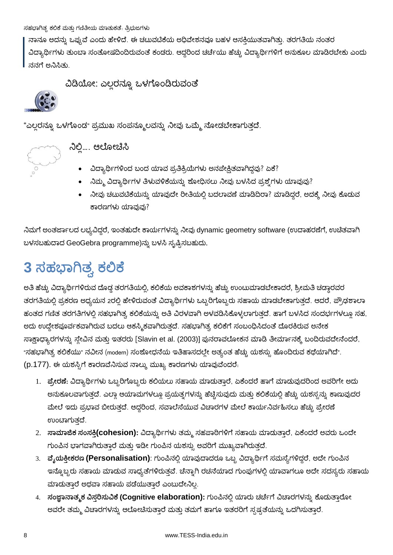ನಾನೂ ಅದನ್ನು ಒಪ್ಪುವೆ ಎಂದು ಹೇಳಿದೆ. ಈ ಚಟುವಟಿಕೆಯ ಅಧಿವೇಶನವೂ ಬಹಳ ಆಸಕ್ತಿಯುತವಾಗಿತ್ತು. ತರಗತಿಯ ನಂತರ ವಿದ್ಯಾರ್ಥಿಗಳು ತುಂಬಾ ಸಂತೋಷದಿಂದಿರುವಂತೆ ಕಂಡರು. ಆದ್ದರಿಂದ ಚರ್ಚೆಯು ಹೆಚ್ಚು ವಿದ್ಯಾರ್ಥಿಗಳಿಗೆ ಅನುಕೂಲ ಮಾಡಿರಬೇಕು ಎಂದು ನನಗೆ ಅನಿಸಿತು

ವಿಡಿಯೋ: ಎಲ್ಲರನ್ನೂ ಒಳಗೊಂಡಿರುವಂತೆ



"ಎಲ್ಲರನ್ನೂ ಒಳಗೊಂಡ" ಪ್ರಮುಖ ಸಂಪನ್ಮೂಲವನ್ನು ನೀವು ಒಮ್ಮೆ ನೋಡಬೇಕಾಗುತ್ತದೆ.



# ್ಸ್ರ್ಲಾ ನಿಲ್ಲಿ.... ಆಲೋಚಿಸಿ

- ವಿದ್ಯಾರ್ಥಿಗಳಿಂದ ಬಂದ ಯಾವ ಪ್ರತಿಕ್ರಿಯೆಗಳು ಅನಪೇಕ್ಷಿತವಾಗಿದ್ದವು? ಏಕೆ?
- ನಿಮ್ಮ ವಿದ್ಯಾರ್ಥಿಗಳ ತಿಳುವಳಿಕೆಯನ್ನು ಶೋಧಿಸಲು ನೀವು ಬಳಸಿದ ಪ್ರಶ್ನೆಗಳು ಯಾವುವು?
- ನೀವು ಚಟುವಟಿಕೆಯನ್ನು ಯಾವುದೇ ರೀತಿಯಲ್ಲಿ ಬದಲಾವಣೆ ಮಾಡಿದಿರಾ? ಮಾಡಿದ್ದರೆ, ಅದಕ್ಕೆ ನೀವು ಕೊಡುವ ಕಾರಣಗಳು ಯಾವುವು?

ನಿಮಗೆ ಅಂತರ್ಜಾಲದ ಲಭ್ಯವಿದ್ದರೆ, ಇಂತಹುದೇ ಕಾರ್ಯಗಳನ್ನು ನೀವು dynamic geometry software (ಉದಾಹರಣೆಗೆ, ಉಚಿತವಾಗಿ ಬಳಸಬಹುದಾದ GeoGebra programme)ನ್ನು ಬಳಸಿ ಸೃಷ್ಟಿಸಬಹುದು.

# **3**

ಅತಿ ಹೆಚ್ಚು ವಿದ್ಯಾರ್ಥಿಗಳಿರುವ ದೊಡ್ಡ ತರಗತಿಯಲ್ಲಿ, ಕಲಿಕೆಯ ಅವಕಾಶಗಳನ್ನು ಹೆಚ್ಚು ಉಂಟುಮಾಡಬೇಕಾದರೆ, ಶ್ರೀಮತಿ ಚಡ್ಗಾರವರ ತರಗತಿಯಲ್ಲಿ ಪ್ರಕರಣ ಅಧ್ಯಯನ 2ರಲ್ಲಿ ಹೇಳಿರುವಂತೆ ವಿದ್ಯಾರ್ಥಿಗಳು ಒಬ್ಬರಿಗೊಬ್ಬರು ಸಹಾಯ ಮಾಡಬೇಕಾಗುತ್ತದೆ. ಆದರೆ, ಪ್ರೌಢಶಾಲಾ ಹಂತದ ಗಣಿತ ತರಗತಿಗಳಲ್ಲಿ ಸಹಭಾಗಿತ್ವ ಕಲಿಕೆಯನ್ನು ಅತಿ ವಿರಳವಾಗಿ ಅಳವಡಿಸಿಕೊಳ್ಳಲಾಗುತ್ತದೆ. ಹಾಗೆ ಬಳಸಿದ ಸಂದರ್ಭಗಳಲ್ಲೂ ಸಹ, ಅದು ಉದ್ದೇಶಪೂರ್ವಕವಾಗಿರುವ ಬದಲು ಆಕಸ್ಮಿಕವಾಗಿರುತ್ತದೆ. ಸಹಭಾಗಿತ್ವ ಕಲಿಕೆಗೆ ಸಂಬಂಧಿಸಿದಂತೆ ದೊರಕಿರುವ ಅನೇಕ ಸಾಕ್ಷಾಧ್ಯಾರಗಳನ್ನು ಸ್ಲೇವಿನ ಮತ್ತು ಇತರರು [Slavin et al. (2003)] ಪುನರಾವಲೋಕನ ಮಾಡಿ ತೀರ್ಮಾನಕ್ಕೆ ಬಂದಿರುವದೇನೆಂದರೆ, "ಸಹಭಾಗಿತ್<mark>ತ.</mark> ಕಲಿಕೆಯು" ನವೀನ (modern) ಸಂಶೋಧನೆಯ ಇತಿಹಾಸದಲ್ಲೇ ಅತ್ಯಂತ ಹೆಚ್ಚು ಯಶಸ್ಸು ಹೊಂದಿರುವ ಕಥೆಯಾಗಿದೆ". (p.177). ಈ ಯಶಸ್ಸಿಗೆ ಕಾರಣವೆನಿಸುವ ನಾಲ್ಕು ಮುಖ್ಯ ಕಾರಣಗಳು ಯಾವುವೆಂದರೆ.

- 1. ಪ್ರೇರಣೆ: ವಿದ್ಯಾರ್ಥಿಗಳು ಒಬ್ಬರಿಗೊಬ್ಬರು ಕಲಿಯಲು ಸಹಾಯ ಮಾಡುತ್ತಾರೆ, ಏಕೆಂದರೆ ಹಾಗೆ ಮಾಡುವುದರಿಂದ ಅವರಿಗೇ ಅದು ಅನುಕೂಲವಾಗುತ್ತದೆ. ಎಲ್ಲಾ ಆಯಾಮಗಳಲ್ಲೂ ಪ್ರಯತ್ನಗಳನ್ನು ಹೆಚ್ಚಿಸುವುದು ಮತ್ತು ಕಲಿಕೆಯಲ್ಲಿ ಹೆಚ್ಚು ಯಶಸ್ಸನ್ನು ಕಾಣುವುದರ ಮೇಲೆ ಇದು ಪ್ರಭಾವ ಬೀರುತ್ತದೆ. ಆದ್ದರಿಂದ, ಸವಾಲೆಸೆಯುವ ವಿಚಾರಗಳ ಮೇಲೆ ಕಾರ್ಯನಿರ್ವಹಿಸಲು ಹೆಚ್ಚು ಪ್ರೇರಣೆ ಉಂಟಾಗುತದೆ.
- $2$ . **ಸಾಮಾಜಿಕ** ಸಂಸಕ್ತಿ(cohesion): ವಿದ್ಯಾರ್ಥಿಗಳು ತಮ್ಮ ಸಹಪಾಠಿಗಳಿಗೆ ಸಹಾಯ ಮಾಡುತ್ತಾರೆ, ಏಕೆಂದರೆ ಅವರು ಒಂದೇ ಗುಂಪಿನ ಭಾಗವಾಗಿರುತ್ತಾರೆ ಮತ್ತು ಇಡೀ ಗುಂಪಿನ ಯಶಸ್ಸು ಅವರಿಗೆ ಮುಖ್ಯವಾಗಿರುತ್ತದೆ.
- 3. ವೈಯಕ್ತೀಕರಣ (Personalisation): ಗುಂಪಿನಲ್ಲಿ ಯಾವುದಾದರೂ ಒಬ್ಬ ವಿದ್ಯಾರ್ಥಿಗೆ ಸಮಸ್ಯೆಗಳಿದ್ದರೆ, ಅದೇ ಗುಂಪಿನ ಇನ್ನೊಬ್ಬರು ಸಹಾಯ ಮಾಡುವ ಸಾಧ್ಯತೆಗಳಿರುತ್ತವೆ. ಚೆನ್ನಾಗಿ ರಚನೆಯಾದ ಗುಂಪುಗಳಲ್ಲಿ ಯಾವಾಗಲೂ ಅದೇ ಸದಸ್ಯರು ಸಹಾಯ ಮಾಡುತ್ತಾರೆ ಅಥವಾ ಸಹಾಯ ಪಡೆಯುತ್ತಾರೆ ಎಂಬುದೇನಿಲ್ಲ.
- 4. ಸಂಜ್ಞಾನಾತ್ಮಕ ವಿಸ್ತರಿಸುವಿಕೆ (Cognitive elaboration): ಗುಂಪಿನಲ್ಲಿ ಯಾರು ಚರ್ಚೆಗೆ ವಿಚಾರಗಳನ್ನು ಕೊಡುತ್ತಾರೋ ಅವರೇ ತಮ್ಮ ವಿಚಾರಗಳನ್ನು ಆಲೋಚಿಸುತ್ತಾರೆ ಮತ್ತು ತಮಗೆ ಹಾಗೂ ಇತರರಿಗೆ ಸ್ಪಷ್ಟತೆಯನ್ನು ಒದಗಿಸುತ್ತಾರೆ.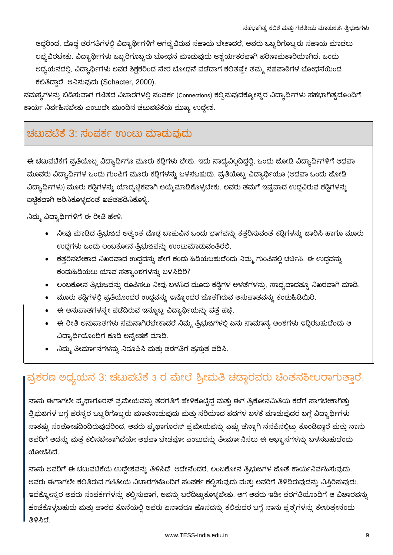ಆದ್ದರಿಂದ, ದೊಡ್ಡ ತರಗತಿಗಳಲ್ಲಿ ವಿದ್ಯಾರ್ಥಿಗಳಿಗೆ ಅಗತ್ಯವಿರುವ ಸಹಾಯ ಬೇಕಾದರೆ, ಅವರು ಒಬ್ಬರಿಗೊಬ್ಬರು ಸಹಾಯ ಮಾಡಲು ಲಭ್ಯವಿರಬೇಕು. ವಿದ್ಯಾರ್ಥಿಗಳು ಒಬ್ಬರಿಗೊಬ್ಬರು ಬೋಧನೆ ಮಾಡುವುದು ಆಶ್ಚರ್ಯಕರವಾಗಿ ಪರಿಣಾಮಕಾರಿಯಾಗಿದೆ. ಒಂದು ಅಧ್ಯಯನದಲ್ಲಿ, ವಿದ್ಯಾರ್ಥಿಗಳು ಅವರ ಶಿಕ್ಷಕರಿಂದ ನೇರ ಬೋಧನೆ ಪಡೆದಾಗ ಕಲಿತಷ್ಟೇ ತಮ್ಮ ಸಹಪಾಠಿಗಳ ಬೋಧನೆಯಿಂದ ಕಲಿತಿದ್ದಾರೆ. ಅನಿಸುವುದು (Schacter, 2000).

ಸಮಸ್ಯೆಗಳನ್ನು ಬಿಡಿಸುವಾಗ ಗಣಿತದ ವಿಚಾರಗಳಲ್ಲಿ ಸಂಪರ್ಕ (Connections) ಕಲ್ಪಿಸುವುದಕ್ಕೋಸ್ಕರ ವಿದ್ಯಾರ್ಥಿಗಳು ಸಹಭಾಗಿತ್ವದೊಂದಿಗೆ ಕಾರ್ಯ ನಿರ್ವಹಿಸಬೇಕು ಎಂಬುದೇ ಮುಂದಿನ ಚಟುವಟಿಕೆಯ ಮುಖ್ಯ ಉದ್ದೇಶ.

### ಚಟುವಟಿಕೆ 3: ಸಂಪರ್ಕ ಉಂಟು ಮಾಡುವುದು

ಈ ಚಟುವಟಿಕೆಗೆ ಪ್ರತಿಯೊಬ್ಬ ವಿದ್ಯಾರ್ಥಿಗೂ ಮೂರು ಕಡ್ಗಿಗಳು ಬೇಕು. ಇದು ಸಾಧ್ಯವಿಲ್ಲದಿದ್ದಲ್ಲಿ, ಒಂದು ಜೋಡಿ ವಿದ್ಯಾರ್ಥಿಗಳಿಗೆ ಅಥವಾ ಮೂವರು ವಿದ್ಯಾರ್ಥಿಗಳ ಒಂದು ಗುಂಪಿಗೆ ಮೂರು ಕಡ್ಡಿಗಳನ್ನು ಬಳಸಬಹುದು. ಪ್ರತಿಯೊಬ್ಬ ವಿದ್ಯಾರ್ಥಿಯೂ (ಅಥವಾ ಒಂದು ಜೋಡಿ ವಿದ್ಯಾರ್ಥಿಗಳು) ಮೂರು ಕಡ್ಡಿಗಳನ್ನು ಯಾದೃಚ್ಛಿಕವಾಗಿ ಆಯ್ಕೆಮಾಡಿಕೊಳ್ಳಬೇಕು. ಅವರು ತಮಗೆ ಇಷ್ಟವಾದ ಉದ್ದವಿರುವ ಕಡ್ಡಿಗಳನ್ನು ಐಚ್ಚಿಕವಾಗಿ ಆರಿಸಿಕೊಳ್ಳದಂತೆ ಖಚಿತಪಡಿಸಿಕೊಳ್ಳಿ.

ನಿಮ್ಮ ವಿದ್ಯಾರ್ಥಿಗಳಿಗೆ ಈ ರೀತಿ ಹೇಳಿ.

- ನೀವು ಮಾಡಿದ ತ್ರಿಭುಜದ ಅತ್ಯಂತ ದೊಡ್ಡ ಬಾಹುವಿನ ಒಂದು ಭಾಗವನ್ನು ಕತ್ತರಿಸುವಂತೆ ಕಡ್ಡಿಗಳನ್ನು ಜಾರಿಸಿ ಹಾಗೂ ಮೂರು ಉದ್ದಗಳು ಒಂದು ಲಂಬಕೋನ ತ್ರಿಭುಜವನ್ನು ಉಂಟುಮಾಡುವಂತಿರಲಿ.
- ಕತ್ತರಿಸಬೇಕಾದ ನಿಖರವಾದ ಉದ್ದವನ್ನು ಹೇಗೆ ಕಂಡು ಹಿಡಿಯಬಹುದೆಂದು ನಿಮ್ಮ ಗುಂಪಿನಲ್ಲಿ ಚರ್ಚಿಸಿ. ಈ ಉದ್ದವನ್ನು ಕಂದುಹಿಡಿಯಲು ಯಾವ ಸತ್ಯಾಂಶಗಳನ್ನು ಬಳಸಿದಿರಿ?
- ಲಂಬಕೋನ ತ್ರಿಭುಜವನ್ನು ರೂಪಿಸಲು ನೀವು ಬಳಸಿದ ಮೂರು ಕಡ್ಡಿಗಳ ಅಳತೆಗಳನ್ನು, ಸಾಧ್ಯವಾದಷ್ರೂ ನಿಖರವಾಗಿ ಮಾಡಿ.
- ಮೂರು ಕಡ್ಡಿಗಳಲ್ಲಿ ಪ್ರತಿಯೊಂದರ ಉದ್ದವನ್ನು ಇನ್ನೊಂದರ ಜೊತೆಗಿರುವ ಅನುಪಾತವನ್ನು ಕಂಡುಹಿಡಿಯಿರಿ.
- ಈ ಅನುಪಾತಗಳನ್ನೇ ಪಡೆದಿರುವ ಇನ್ನೊಬ್ಬ ವಿದ್ಯಾರ್ಥಿಯನ್ನು ಪತ್ತೆ ಹಚ್ಚೆ.
- ಈ ರೀತಿ ಅನುಪಾತಗಳು ಸಮನಾಗಿರಬೇಕಾದರೆ ನಿಮ್ಮ ತ್ರಿಭುಜಗಳಲ್ಲಿ ಏನು ಸಾಮಾನ್ಯ ಅಂಶಗಳು ಇದ್ದಿರಬಹುದೆಂದು ಆ ವಿದ್ಯಾರ್ಥಿಯೊಂದಿಗೆ ಕೂಡಿ ಅನ್ವೇಷಣೆ ಮಾಡಿ.
- ನಿಮ್ಮ ತೀರ್ಮಾನಗಳನ್ನು ನಿರೂಪಿಸಿ ಮತ್ತು ತರಗತಿಗೆ ಪ್ರಸ್ತುತ ಪಡಿಸಿ.

## ಪ್ರಕರಣ ಅಧ್ಯಯನ 3: ಚಟುವಟಿಕೆ 3 ರ ಮೇಲೆ ಶ್ರೀಮತಿ ಚಡ್ಡಾರವರು ಚೆಂತನಶೀಲರಾಗುತ್ತಾರೆ.

ನಾನು ಈಗಾಗಲೇ ಪ್ಶೈಥಾಗೊರಸ್ ಪ್ರಮೇಯವನ್ನು ತರಗತಿಗೆ ಹೇಳಿಕೊಟ್ಟಿದ್ದೆ ಮತ್ತು ಈಗ ತ್ರಿಕೋನಮಿತಿಯ ಕಡೆಗೆ ಸಾಗಬೇಕಾಗಿತ್ತು. ತ್ರಿಭುಜಗಳ ಬಗ್ಗೆ ಪರಸ್ಪರ ಒಬ್ಬರಿಗೊಬ್ಬರು ಮಾತನಾಡುವುದು ಮತ್ತು ಸರಿಯಾದ ಪದಗಳ ಬಳಕೆ ಮಾಡುವುದರ ಬಗ್ಗೆ ವಿದ್ಯಾರ್ಥಿಗಳು ಸಾಕಷ್ಟು ಸಂತೋಷದಿಂದಿರುವುದರಿಂದ, ಅವರು ಪೈಥಾಗೊರಸ್ ಪ್ರಮೇಯವನ್ನು ಎಷ್ಟು ಚೆನ್ನಾಗಿ ನೆನಪಿನಲ್ಲಿಟ್ಟು ಕೊಂಡಿದ್ದಾರೆ ಮತ್ತು ನಾನು ಅವರಿಗೆ ಅದನ್ನು ಮತ್ತೆ ಕಲಿಸಬೇಕಾಗಿದೆಯೇ ಅಥವಾ ಬೇಡವೋ ಎಂಬುದನ್ನು ತೀರ್ಮಾನಿಸಲು ಈ ಅಭ್ಯಾಸಗಳನ್ನು ಬಳಸಬಹುದೆಂದು ಯೋಚಿಸಿದೆ.

ನಾನು ಅವರಿಗೆ ಈ ಚಟುವಟಿಕೆಯ ಉದ್ದೇಶವನ್ನು ತಿಳಿಸಿದೆ. ಅದೇನೆಂದರೆ, ಲಂಬಕೋನ ತ್ರಿಭುಜಗಳ ಜೊತೆ ಕಾರ್ಯನಿರ್ವಹಿಸುವುದು, ಅವರು ಈಗಾಗಲೇ ಕಲಿತಿರುವ ಗಣಿತೀಯ ವಿಚಾರಗಳೊಂದಿಗೆ ಸಂಪರ್ಕ ಕಲ್ಪಿಸುವುದು ಮತ್ತು ಅವರಿಗೆ ತಿಳಿದಿರುವುದನ್ನು ವಿಸ್ತಿರಿಸುವುದು. ಇದಕ್ಕೋಸ್ಕರ ಅವರು ಸಂಪರ್ಕಗಳನ್ನು ಕಲ್ಪಿಸುವಾಗ, ಅವನ್ನು ಬರೆದಿಟ್ಟುಕೊಳ್ಳಬೇಕು. ಆಗ ಅವರು ಇಡೀ ತರಗತಿಯೊಂದಿಗೆ ಆ ವಿಚಾರವನ್ನು ಹಂಚಿಕೊಳ್ಳಬಹುದು ಮತ್ತು ಪಾಠದ ಕೊನೆಯಲ್ಲಿ ಅವರು ಏನಾದರೂ ಹೊಸದನ್ನು ಕಲಿತುದರ ಬಗ್ಗೆ ನಾನು ಪ್ರಶ್ನೆಗಳನ್ನು ಕೇಳುತ್ತೇನೆಂದು ತಿಳಿಸಿದೆ.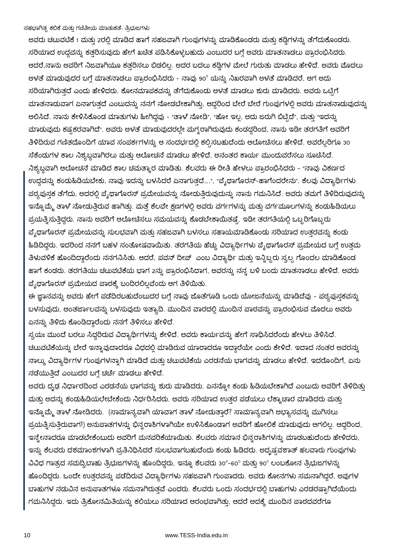ಅವರು ಚಟುವಟಿಕೆ 1 ಮತ್ತು 2ರಲ್ಲಿ ಮಾಡಿದ ಹಾಗೆ ಸಹಜವಾಗಿ ಗುಂಪುಗಳನ್ನು ಮಾಡಿಕೊಂಡರು ಮತ್ತು ಕಡ್ಡಿಗಳನ್ನು ತೆಗೆದುಕೊಂಡರು. ಸರಿಯಾದ ಉದ್ದವನ್ನು ಕತ್ತರಿಸುವುದು ಹೇಗೆ ಖಚಿತ ಪಡಿಸಿಕೊಳ್ಳಬಹುದು ಎಂಬುದರ ಬಗ್ಗೆ ಅವರು ಮಾತನಾಡಲು ಪ್ರಾರಂಭಿಸಿದರು. ಆದರೆ,ನಾನು ಅವರಿಗೆ ನಿಜವಾಗಿಯೂ ಕತ್ತರಿಸಲು ಬಿಡಲಿಲ್ಲ. ಅದರ ಬದಲು ಕಡ್ಡಿಗಳ ಮೇಲೆ ಗುರುತು ಮಾಡಲು ಹೇಳಿದೆ. ಅವರು ಮೊದಲು ಅಳತೆ ಮಾಡುವುದರ ಬಗ್ಗೆ ಮಾತನಾಡಲು ಪ್ರಾರಂಭಿಸಿದರು - ನಾವು 90º ಯನ್ನು ನಿಖರವಾಗಿ ಅಳತೆ ಮಾಡಿದರೆ, ಆಗ ಅದು ಸರಿಯಾಗಿರುತ್ತದೆ ಎಂದು ಹೇಳಿದರು. ಕೋನಮಾಪಕವನ್ನು ತೆಗೆದುಕೊಂಡು ಅಳತೆ ಮಾಡಲು ಶುರು ಮಾಡಿದರು. ಅವರು ಒಟ್ಟಿಗೆ ಮಾತನಾಡುವಾಗ ಏನಾಗುತ್ತದೆ ಎಂಬುದನ್ನು ನನಗೆ ನೋಡಬೇಕಾಗಿತ್ತು, ಆದ್ದರಿಂದ ಬೇರೆ ಬೇರೆ ಗುಂಪುಗಳಲ್ಲಿ ಅವರು ಮಾತನಾಡುವುದನ್ನು ಆಲಿಸಿದೆ. ನಾನು ಕೇಳಿಸಿಕೊಂಡ ಮಾತುಗಳು ಹೀಗಿದ್ದವು - "ತಾಳೆ ನೋಡಿ", "ಹೋ ಇಲ್ಲ, ಅದು ಜರುಗಿ ಬಿಟ್ಟಿದೆ", ಮತ್ತು "ಇದನ್ನು ಮಾಡುವುದು ಕಷ್ಟಕರವಾಗಿದೆ". ಅವರು ಅಳತೆ ಮಾಡುವುದರಲ್ಲೇ ಮಗ್ಗರಾಗಿರುವುದು ಕಂಡದ್ದರಿಂದ, ನಾನು ಇಡೀ ತರಗತಿಗೆ ಅವರಿಗೆ ತಿಳಿದಿರುವ ಗಣಿತದೊಂದಿಗೆ ಯಾವ ಸಂಪರ್ಕಗಳನ್ನು ಆ ಸಂದರ್ಭದಲ್ಲಿ ಕಲ್ಪಿಸಬಹುದೆಂದು ಆಲೋಚಿಸಲು ಹೇಳಿದೆ. ಅವರೆಲ್ಲರಿಗೂ 30 ಸೆಕೆಂಡುಗಳ ಕಾಲ ನಿಶ್ಯಬ್ಧವಾಗಿರಲು ಮತ್ತು ಆಲೋಚನೆ ಮಾಡಲು ಹೇಳಿದೆ, ಅನಂತರ ಕಾರ್ಯ ಮುಂದುವರೆಸಲು ಸೂಚಿಸಿದೆ. ನಿಶ್ಯಬ್ದವಾಗಿ ಆಲೋಚನೆ ಮಾಡಿದ ಕಾಲ ಚಮತ್ಕಾರ ಮಾಡಿತು. ಕೆಲವರು ಈ ರೀತಿ ಹೇಳಲು ಪ್ರಾರಂಭಿಸಿದರು - "ನಾವು ವಿಕರ್ಣದ ಉದ್ದವನ್ನು ಕಂಡುಹಿಡಿಯಬೇಕು, ನಾವು ಇದನ್ನು ಬಳಸಿದರೆ ಏನಾಗುತ್ತದೆ….", "ಪ್ಶೆಥಾಗೊರಸ್-ಹಾಗೆಂದರೇನು". ಕೆಲವು ವಿದ್ಯಾರ್ಥಿಗಳು ಪಠ್ಯಪುಸ್ತಕ ತೆಗೆದು, ಅದರಲ್ಲಿ ಪೈಥಾಗೊರಸ್ ಪ್ರಮೇಯವನ್ನು ನೋಡುತ್ತಿರುವುದುನ್ನು ನಾನು ಗಮನಿಸಿದೆ. ಅವರು ತಮಗೆ ತಿಳಿದಿರುವುದನ್ನು ಇನ್ನೊಮ್ಮೆ ತಾಳೆ ನೋಡುತ್ತಿರುವ ಹಾಗಿತ್ತು. ಮತ್ತೆ ಕೆಲವೇ ಕ್ಷಣಗಳಲ್ಲಿ ಅವರು ವರ್ಗಗಳನ್ನು ಮತ್ತು ವರ್ಗಮೂಲಗಳನ್ನು ಕಂಡುಹಿಡಿಯಲು ಪ್ರಯತ್ತಿಸುತ್ತಿದ್ದರು. ನಾನು ಅವರಿಗೆ ಆಲೋಚಿಸಲು ಸಮಯವನ್ನು ಕೊಡಬೇಕಾಯಿತಷ್ಟೆ. ಇಡೀ ತರಗತಿಯಲ್ಲಿ ಒಬ್ಬರಿಗೊಬ್ಬರು ಪೈಥಾಗೊರಸ್ ಪ್ರಮೇಯವನ್ನು ಸುಲಭವಾಗಿ ಮತ್ತು ಸಹಜವಾಗಿ ಬಳಸಲು ಸಹಾಯಮಾಡಿಕೊಂಡು ಸರಿಯಾದ ಉತರವನ್ನು ಕಂಡು ಹಿಡಿದಿದ್ದರು. ಇದರಿಂದ ನನಗೆ ಬಹಳ ಸಂತೋಷವಾಯಿತು. ತರಗತಿಯ ಹೆಚ್ಚು ವಿದ್ಯಾರ್ಥಿಗಳು ಪೈಥಾಗೊರಸ್ ಪ್ರಮೇಯದ ಬಗ್ಗೆ ಉತ್ತಮ ತಿಳುವಳಿಕೆ ಹೊಂದಿದ್ದಾರೆಂದು ನನಗನಿಸಿತು. ಆದರೆ, ಪವನ್ ದೀಪ್ ಎಂಬ ವಿದ್ಯಾರ್ಥಿ ಮತ್ತು ಇನ್ನಿಬ್ಬರು ಸ್ವಲ್ಪ ಗೊಂದಲ ಮಾಡಿಕೊಂಡ ಹಾಗೆ ಕಂಡರು. ತರಗತಿಯು ಚಟುವಟಿಕೆಯ ಭಾಗ 2ನ್ನು ಪ್ರಾರಂಭಿಸಿದಾಗ, ಅವರನ್ನು ನನ್ನ ಬಳಿ ಬಂದು ಮಾತನಾಡಲು ಹೇಳಿದೆ. ಅವರು ಪ್ಶೆಥಾಗೊರಸ್ ಪ್ರಮೇಯದ ಪಾಠಕ್ಕೆ ಬಂದಿರಲಿಲ್ಲವೆಂದು ಆಗ ತಿಳಿಯಿತು.

ಈ ಜ್ಞಾನವನ್ನು ಅವರು ಹೇಗೆ ಪಡೆದಿರಬಹುದೆಂಬುದರ ಬಗ್ಗೆ ನಾವು ಜೊತೆಗೂಡಿ ಒಂದು ಯೋಜನೆಯನ್ನು ಮಾಡಿದೆವು - ಪಠ್ಯಪುಸ್ತಕವನ್ನು ಬಳಸುವುದು, ಅಂತರ್ಜಾಲವನ್ನು ಬಳಸುವುದು ಇತ್ಯಾದಿ. ಮುಂದಿನ ವಾರದಲ್ಲಿ ಮುಂದಿನ ಪಾಠವನ್ನು ಪ್ರಾರಂಭಿಸುವ ಮೊದಲು ಅವರು `ಏನನ್ನು ತಿಳಿದು ಕೊಂಡಿದ್ದಾರೆಂದು ನನಗೆ ತಿಳಿಸಲು ಹೇಳಿದೆ.

ಸ್ವಯಃ ಮುಂದೆ ಬರಲು ಸಿದ್ಧರಿರುವ ವಿದ್ಯಾರ್ಥಿಗಳನ್ನು ಕೇಳಿದೆ. ಅವರು ಕಾರ್ಯವನ್ನು ಹೇಗೆ ಸಾಧಿಸಿದರೆಂದು ಹೇಳಲು ತಿಳಿಸಿದೆ. ಚಟುವಟಿಕೆಯನ್ನು ಬೇರೆ ಇನ್ನಾವುದಾದರೂ ವಿಧದಲ್ಲಿ ಮಾಡಿರುವ ಯಾರಾದರೂ ಇದ್ದಾರೆಯೇ ಎಂದು ಕೇಳಿದೆ. ಇದಾದ ನಂತರ ಅವರನ್ನು ನಾಲ್ಕು ವಿದ್ಯಾರ್ಥಿಗಳ ಗುಂಪುಗಳನ್ನಾಗಿ ಮಾಡಿದೆ ಮತ್ತು ಚಟುವಟಿಕೆಯ ಎರಡನೆಯ ಭಾಗವನ್ನು ಮಾಡಲು ಹೇಳಿದೆ. ಇದರೊಂದಿಗೆ, ಏನು ನಡೆಯುತ್ತಿದೆ ಎಂಬುದರ ಬಗ್ಗೆ ಚರ್ಚೆ ಮಾಡಲು ಹೇಳಿದೆ.

ಅವರು ದೃಢ ನಿರ್ಧಾರದಿಂದ ಎರಡನೆಯ ಭಾಗವನ್ನು ಶುರು ಮಾಡಿದರು. ಏನನ್ನೋ ಕಂಡು ಹಿಡಿಯಬೇಕಾಗಿದೆ ಎಂಬುದು ಅವರಿಗೆ ತಿಳಿದಿತ್ತು ಮತ್ತು ಅದನ್ನು ಕಂಡುಹಿಡಿಯಲೇಬೇಕೆಂದು ನಿರ್ಧರಿಸಿದರು. ಅವರು ಸರಿಯಾದ ಉತ್ತರ ಪಡೆಯಲು ಲೆಕ್ಕಾಚಾರ ಮಾಡಿದರು ಮತ್ತು ಇನ್ನೊಮ್ಮೆ ತಾಳೆ ನೋಡಿದರು. (ಸಾಮಾನ್ಯವಾಗಿ ಯಾವಾಗ ತಾಳೆ ನೋಡುತ್ತಾರೆ? ಸಾಮಾನ್ಯವಾಗಿ ಅಭ್ಯಾಸವನ್ನು ಮುಗಿಸಲು ಪ್ರಯತ್ನಿಸುತ್ತಿರುವಾಗ!) ಅನುಪಾತಗಳನ್ನು ಭಿನ್ನರಾಶಿಗಳಾಗಿಯೇ ಉಳಿಸಿಕೊಂಡಾಗ ಅವರಿಗೆ ಹೋಲಿಕೆ ಮಾಡುವುದು ಆಗಲಿಲ್ಲ. ಆದ್ದರಿಂದ, ಇನ್ಕೇನಾದರೂ ಮಾಡಬೇಕೆಂಬುದು ಅವರಿಗೆ ಮನವರಿಕೆಯಾಯಿತು. ಕೆಲವರು ಸಮಾನ ಭಿನ್ನರಾಶಿಗಳನ್ನು ಮಾಡಬಹುದೆಂದು ಹೇಳಿದರು, ಇನ್ನು ಕೆಲವರು ದಶಮಾಂಶಗಳಾಗಿ ಪ್ರತಿನಿಧಿಸಿದರೆ ಸುಲಭವಾಗಬಹುದೆಂದು ಕಂಡು ಹಿಡಿದರು. ಅದ್ಭಷ್ಟವಶಾತ್ ಹಲವಾರು ಗುಂಪುಗಳು ವಿವಿಧ ಗಾತ್ರದ ಸಮದ್ವಿಬಾಹು ತ್ರಿಭುಜಗಳನ್ನು ಹೊಂದಿದ್ದರು, ಇನ್ನೂ ಕೆಲವರು 30º-60º ಮತ್ತು 90º ಲಂಬಕೋನ ತ್ರಿಭುಜಗಳನ್ನು ಹೊಂದಿದ್ದರು. ಒಂದೇ ಉತ್ತರವನ್ನು ಪಡೆದಿರುವ ವಿದ್ಯಾರ್ಥಿಗಳು ಸಹಜವಾಗಿ ಗುಂಪಾದರು. ಅವರು ಕೋನಗಳು ಸಮನಾಗಿದ್ದರೆ, ಅವುಗಳ ಬಾಹುಗಳ ನಡುವಿನ ಅನುಪಾತಗಳೂ ಸಮನಾಗಿರುತ್ತವೆ ಎಂದರು. ಕೆಲವರು ಒಂದು ಸಂದರ್ಭದಲ್ಲಿ ಬಾಹುಗಳು ಎರಡರಷ್ಪಾಗಿದೆಯೆಂದು ಗಮನಿಸಿದ್ದರು. ಇದು ತ್ರಿಕೋನಮಿತಿಯನ್ನು ಕಲಿಯಲು ಸರಿಯಾದ ಆರಂಭವಾಗಿತ್ತು, ಆದರೆ ಅದಕ್ಕೆ ಮುಂದಿನ ಪಾಠದವರೆಗೂ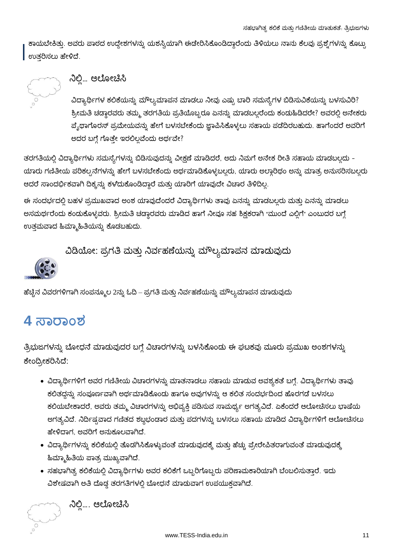ಕಾಯಬೇಕಿತ್ತು. ಅವರು ಪಾಠದ ಉದ್ದೇಶಗಳನ್ನು ಯಶಸ್ವಿಯಾಗಿ ಈಡೇರಿಸಿಕೊಂಡಿದ್ದಾರೆಂದು ತಿಳಿಯಲು ನಾನು ಕೆಲವು ಪ್ರಶ್ನೆಗಳನ್ನು ಕೊಟ್ಟು ಉತರಿಸಲು ಹೇಳಿದೆ.



### ನಿಲ್ಲಿ... ಆಲೋಚಿಸಿ

ವಿದ್ಯಾರ್ಥಿಗಳ ಕಲಿಕೆಯನ್ನು ಮೌಲ್ಯಮಾಪನ ಮಾಡಲು ನೀವು ಎಷ್ಟು ಬಾರಿ ಸಮಸ್ಯೆಗಳ ಬಿಡಿಸುವಿಕೆಯನ್ನು ಬಳಸುವಿರಿ? ಶ್ರೀಮತಿ ಚಡ್ಡಾರವರು ತಮ್ಮ ತರಗತಿಯ ಪ್ರತಿಯೊಬ್ಬರೂ ಏನನ್ನು ಮಾಡಬಲ್ಲರೆಂದು ಕಂಡುಹಿಡಿದರೇ? ಅವರಲ್ಲಿ ಅನೇಕರು ಪ್ಶೆಥಾಗೊರಸ್ ಪ್ರಮೇಯವನ್ನು ಹೇಗೆ ಬಳಸಬೇಕೆಂದು ಜ್ಞಾಪಿಸಿಕೊಳ್ಳಲು ಸಹಾಯ ಪಡೆದಿರಬಹುದು. ಹಾಗೆಂದರೆ ಅವರಿಗೆ ಅದರ ಬಗ್ಗೆ ಗೊತ್ತೇ ಇರಲಿಲ್ಲವೆಂದು ಅರ್ಥವೇ?

ತರಗತಿಯಲ್ಲಿ ವಿದ್ಯಾರ್ಥಿಗಳು ಸಮಸ್ಯೆಗಳನ್ನು ಬಿಡಿಸುವುದನ್ನು ವೀಕ್ಷಣೆ ಮಾಡಿದರೆ, ಅದು ನಿಮಗೆ ಅನೇಕ ರೀತಿ ಸಹಾಯ ಮಾಡಬಲ್ಲದು -ಯಾರು ಗಣಿತೀಯ ಪರಿಕಲ್ಪನೆಗಳನ್ನು ಹೇಗೆ ಬಳಸಬೇಕೆಂದು ಅರ್ಥಮಾಡಿಕೊಳ್ಳಬಲ್ಲರು, ಯಾರು ಅಲ್ದಾರಿಥಂ ಅನ್ನು ಮಾತ್ರ ಅನುಸರಿಸಬಲ್ಲರು ಆದರೆ ಸಾಂದರ್ಭಿಕವಾಗಿ ದಿಕ್ಕನ್ನು ಕಳೆದುಕೊಂಡಿದ್ದಾರೆ ಮತ್ತು ಯಾರಿಗೆ ಯಾವುದೇ ವಿಚಾರ ತಿಳಿದಿಲ್ಲ

ಈ ಸಂದರ್ಭದಲ್ಲಿ ಬಹಳ ಪ್ರಮುಖವಾದ ಅಂಶ ಯಾವುದೆಂದರೆ ವಿದ್ಯಾರ್ಥಿಗಳು ತಾವು ಏನನ್ನು ಮಾಡಬಲ್ಲರು ಮತ್ತು ಏನನ್ನು ಮಾಡಲು ಅಸಮರ್ಥರೆಂದು ಕಂಡುಕೊಳ್ಳವರು. ಶ್ರೀಮತಿ ಚಡ್ಡಾರವರು ಮಾಡಿದ ಹಾಗೆ ನೀವೂ ಸಹ ಶಿಕ್ಷಕರಾಗಿ "ಮುಂದೆ ಎಲ್ಲಿಗೆ" ಎಂಬುದರ ಬಗ್ಗೆ ಉತ್ತಮವಾದ ಹಿಮ್ಮಾಹಿತಿಯನ್ನು ಕೊಡಬಹುದು.

ವಿಡಿಯೋ: ಪ್ರಗತಿ ಮತ್ತು ನಿರ್ವಹಣೆಯನ್ನು ಮೌಲ್ಯಮಾಪನ ಮಾಡುವುದು



ಹೆಚ್ಚಿನ ವಿವರಗಳಿಗಾಗಿ ಸಂಪನ್ಮೂಲ 2ನ್ನು ಓದಿ – ಪ್ರಗತಿ ಮತ್ತು ನಿರ್ವಹಣೆಯನ್ನು ಮೌಲ್ಯಮಾಪನ ಮಾಡುವುದು

## **4 ಸಾರಾಂಶ**

ತ್ರಿಭುಜಗಳನ್ನು ಬೋಧನೆ ಮಾಡುವುದರ ಬಗ್ಗೆ ವಿಚಾರಗಳನ್ನು ಬಳಸಿಕೊಂಡು ಈ ಘಟಕವು ಮೂರು ಪ್ರಮುಖ ಅಂಶಗಳನ್ನು ಕೇಂದ್ರೀಕರಿಸಿದೆ:

- ವಿದ್ಯಾರ್ಥಿಗಳಿಗೆ ಅವರ ಗಣಿತೀಯ ವಿಚಾರಗಳನ್ನು ಮಾತನಾಡಲು ಸಹಾಯ ಮಾಡುವ ಅವಶ್ಯಕತೆ ಬಗ್ಗೆ. ವಿದ್ಯಾರ್ಥಿಗಳು ತಾವು ಕಲಿತದ್ದನ್ನು ಸಂಪೂರ್ಣವಾಗಿ ಅರ್ಥಮಾಡಿಕೊಂಡು ಹಾಗೂ ಅವುಗಳನ್ನು ಆ ಕಲಿತ ಸಂದರ್ಭದಿಂದ ಹೊರಗಡೆ ಬಳಸಲು ಕಲಿಯಬೇಕಾದರೆ, ಅವರು ತಮ್ಮ ವಿಚಾರಗಳನ್ನು ಅಭಿವ್ಯಕ್ತಿ ಪಡಿಸುವ ಸಾಮರ್ಥ್ಯ ಅಗತ್ಯವಿದೆ. ಏಕೆಂದರೆ ಆಲೋಚಿಸಲು ಭಾಷೆಯ ಅಗತ್ಯವಿದೆ. ನಿರ್ದಿಷ್ಟವಾದ ಗಣಿತದ ಶಬ್ದಭಂಡಾರ ಮತ್ತು ಪದಗಳನ್ನು ಬಳಸಲು ಸಹಾಯ ಮಾಡಿದ ವಿದ್ಯಾರ್ಥಿಗಳಿಗೆ ಆಲೋಚಿಸಲು ಹೇಳಿದಾಗ, ಅವರಿಗೆ ಅನುಕೂಲವಾಗಿದೆ.
- ವಿದ್ಯಾರ್ಥಿಗಳನ್ನು ಕಲಿಕೆಯಲ್ಲಿ ತೊಡಗಿಸಿಕೊಳ್ಳುವಂತೆ ಮಾಡುವುದಕ್ಕೆ ಮತ್ತು ಹೆಚ್ಚು ಪ್ರೇರೇಪಿತರಾಗುವಂತೆ ಮಾಡುವುದಕ್ಕೆ ಹಿಮ್ಮಾಹಿತಿಯ ಪಾತ್ರ ಮುಖ್ಯವಾಗಿದೆ.
- ಸಹಭಾಗಿತ್ವ ಕಲಿಕೆಯಲ್ಲಿ ವಿದ್ಯಾರ್ಥಿಗಳು ಅವರ ಕಲಿಕೆಗೆ ಒಬ್ಬರಿಗೊಬ್ಬರು ಪರಿಣಾಮಕಾರಿಯಾಗಿ ಬೆಂಬಲಿಸುತ್ತಾರೆ. ಇದು ವಿಶೇಷವಾಗಿ ಅತಿ ದೊಡ್ಡ ತರಗತಿಗಳಲ್ಲಿ ಬೋಧನೆ ಮಾಡುವಾಗ ಉಪಯುಕ್ತವಾಗಿದೆ.



್ರಾ ನಿಲ್ಲಿ.... ಆಲೋಚಿಸಿ<br>ಮಾ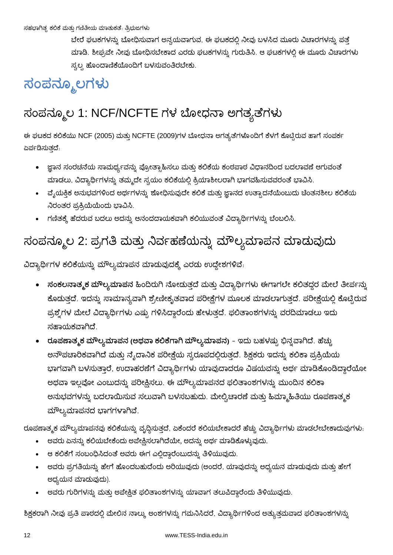ಬೇರೆ ಘಟಕಗಳನ್ನು ಬೋಧಿಸುವಾಗ ಅನ್ವಯವಾಗುವ, ಈ ಘಟಕದಲ್ಲಿ ನೀವು ಬಳಸಿದ ಮೂರು ವಿಚಾರಗಳನ್ನು ಪತ್ತೆ ಮಾಡಿ. ಶೀಘ್ರವೇ ನೀವು ಬೋಧಿಸಬೇಕಾದ ಎರಡು ಘಟಕಗಳನ್ನು ಗುರುತಿಸಿ. ಆ ಘಟಕಗಳಲ್ಲಿ ಈ ಮೂರು ವಿಚಾರಗಳು ಸ್ವಲ್ಪ ಹೊಂದಾಣಿಕೆಯೊಂದಿಗೆ ಬಳಸುವಂತಿರಬೇಕು.

# ಸಂಪನ್ಮೂಲಗಳು

# ಸಂಪನ್ಮೂಲ 1: NCF/NCFTE ಗಳ ಬೋಧನಾ ಅಗತ್ಯತೆಗಳು

ಈ ಘಟಕದ ಕಲಿಕೆಯು NCF (2005) ಮತ್ತು NCFTE (2009)ಗಳ ಬೋಧನಾ ಅಗತ್ಯತೆಗಳೊಂದಿಗೆ ಕೆಳಗೆ ಕೊಟ್ಟಿರುವ ಹಾಗೆ ಸಂಪರ್ಕ ಏರ್ಪಡಿಸುತದೆ.

- ಜ್ಞಾನ ಸಂರಚನೆಯ ಸಾಮರ್ಥ್ಯವನ್ನು ಪ್ರೋತ್ಸಾಹಿಸಲು ಮತ್ತು ಕಲಿಕೆಯ ಕಂಠಪಾಠ ವಿಧಾನದಿಂದ ಬದಲಾವಣೆ ಆಗುವಂತೆ ಮಾಡಲು, ವಿದ್ಯಾರ್ಥಿಗಳನ್ನು ತಮ್ಮದೇ ಸ್ವಯಂ ಕಲಿಕೆಯಲ್ಲಿ ಕ್ರಿಯಾಶೀಲರಾಗಿ ಭಾಗವಹಿಸುವವರಂತೆ ಭಾವಿಸಿ.
- ವೈಯಕ್ತಿಕ ಅನುಭವಗಳಿಂದ ಅರ್ಥಗಳನ್ನು ಶೋಧಿಸುವುದೇ ಕಲಿಕೆ ಮತ್ತು ಜ್ಞಾನದ ಉತ್ಪಾದನೆಯೆಂಬುದು ಚಿಂತನಶೀಲ ಕಲಿಕೆಯ ನಿರಂತರ ಪ್ರಕ್ರಿಯೆಯೆಂದು ಭಾವಿಸಿ.
- ಗಣಿತಕ್ಕೆ ಹೆದರುವ ಬದಲು ಅದನ್ನು ಆನಂದದಾಯಕವಾಗಿ ಕಲಿಯುವಂತೆ ವಿದ್ಯಾರ್ಥಿಗಳನ್ನು ಬೆಂಬಲಿಸಿ.

## ಸಂಪನ್ಮೂಲ 2: ಪ್ರಗತಿ ಮತ್ತು ನಿರ್ವಹಣೆಯನ್ನು ಮೌಲ್ಯಮಾಪನ ಮಾಡುವುದು

ವಿದ್ಯಾರ್ಥಿಗಳ ಕಲಿಕೆಯನ್ನು ಮೌಲ್ಯಮಾಪನ ಮಾಡುವುದಕ್ಕೆ ಎರಡು ಉದ್ದೇಶಗಳಿವೆ.

- ಸಂಕಲನಾತ್ಮಕ ಮೌಲ್ಯಮಾಪನ ಹಿಂದಿರುಗಿ ನೋಡುತ್ತದೆ ಮತ್ತು ವಿದ್ಯಾರ್ಥಿಗಳು ಈಗಾಗಲೇ ಕಲಿತದ್ದರ ಮೇಲೆ ತೀರ್ಪನ್ನು ಕೊಡುತ್ತದೆ. ಇದನ್ನು ಸಾಮಾನ್ಯವಾಗಿ ಶ್ರೇಣೀಕೃತವಾದ ಪರೀಕ್ಷೆಗಳ ಮೂಲಕ ಮಾಡಲಾಗುತ್ತದೆ. ಪರೀಕ್ಷೆಯಲ್ಲಿ ಕೊಟ್ಟಿರುವ ಪ್ರಶ್ನೆಗಳ ಮೇಲೆ ವಿದ್ಯಾರ್ಥಿಗಳು ಎಷ್ಟು ಗಳಿಸಿದ್ದಾರೆಂದು ಹೇಳುತ್ತದೆ. ಫಲಿತಾಂಶಗಳನ್ನು ವರದಿಮಾಡಲು ಇದು ಸಹಾಯಕವಾಗಿದೆ.
- ರೂಪಣಾತ್ಮಕ ಮೌಲ್ಯಮಾಪನ (ಅಥವಾ ಕಲಿಕೆಗಾಗಿ ಮೌಲ್ಯಮಾಪನ) ಇದು ಬಹಳಷ್ಟು ಭಿನ್ನವಾಗಿದೆ. ಹೆಚ್ಚು ಅನೌಪಚಾರಿಕವಾಗಿದೆ ಮತ್ತು ನ್ಯೆದಾನಿಕ ಪರೀಕ್ಷೆಯ ಸ್ವರೂಪದಲ್ಲಿರುತ್ತದೆ. ಶಿಕ್ಷಕರು ಇದನ್ನು ಕಲಿಕಾ ಪ್ರಕ್ರಿಯೆಯ ಭಾಗವಾಗಿ ಬಳಸುತ್ತಾರೆ, ಉದಾಹರಣೆಗೆ ವಿದ್ಯಾರ್ಥಿಗಳು ಯಾವುದಾದರೂ ವಿಷಯವನ್ನು ಅರ್ಥ ಮಾಡಿಕೊಂಡಿದ್ದಾರೆಯೋ ಅಥವಾ ಇಲ್ಲವೋ ಎಂಬುದನ್ನು ಪರೀಕ್ಷಿಸಲು. ಈ ಮೌಲ್ಯಮಾಪನದ ಫಲಿತಾಂಶಗಳನ್ನು ಮುಂದಿನ ಕಲಿಕಾ ಅನುಭವಗಳನ್ನು ಬದಲಾಯಿಸುವ ಸಲುವಾಗಿ ಬಳಸಬಹುದು. ಮೇಲ್ವಿಚಾರಣೆ ಮತ್ತು ಹಿಮ್ಮಾಹಿತಿಯು ರೂಪಣಾತ್ಮಕ ಮೌಲ್ಯಮಾಪನದ ಭಾಗಗಳಾಗಿವೆ.

ರೂಪಣಾತ್ಮಕ ಮೌಲ್ಯಮಾಪನವು ಕಲಿಕೆಯನ್ನು ವೃದ್ಧಿಸುತ್ತದೆ, ಏಕೆಂದರೆ ಕಲಿಯಬೇಕಾದರೆ ಹೆಚ್ಚು ವಿದ್ಯಾರ್ಥಿಗಳು ಮಾಡಲೇಬೇಕಾದುವುಗಳು.

- ಅವರು ಏನನ್ನು ಕಲಿಯಬೇಕೆಂದು ಅಪೇಕ್ಷಿಸಲಾಗಿದೆಯೇ, ಅದನ್ನು ಅರ್ಥ ಮಾಡಿಕೊಳ್ಳುವುದು.
- ಆ ಕಲಿಕೆಗೆ ಸಂಬಂಧಿಸಿದಂತೆ ಅವರು ಈಗ ಎಲ್ಲಿದ್ದಾರೆಂಬುದನ್ನು ತಿಳಿಯುವುದು.
- ಅವರು ಪ್ರಗತಿಯನ್ನು ಹೇಗೆ ಹೊಂದಬಹುದೆಂದು ಅರಿಯುವುದು (ಅಂದರೆ, ಯಾವುದನ್ನು ಅಧ್ಯಯನ ಮಾಡುವುದು ಮತ್ತು ಹೇಗೆ ಅಧ್ಯಯನ ಮಾಡುವುದು).
- ಅವರು ಗುರಿಗಳನ್ನು ಮತ್ತು ಅಪೇಕ್ಷಿತ ಫಲಿತಾಂಶಗಳನ್ನು ಯಾವಾಗ ತಲುಪಿದ್ದಾರೆಂದು ತಿಳಿಯುವುದು.

ಶಿಕ್ಷಕರಾಗಿ ನೀವು ಪ್ರತಿ ಪಾಠದಲ್ಲಿ ಮೇಲಿನ ನಾಲ್ಕು ಅಂಶಗಳನ್ನು ಗಮನಿಸಿದರೆ, ವಿದ್ಯಾರ್ಥಿಗಳಿಂದ ಅತ್ಯುತ್ತಮವಾದ ಫಲಿತಾಂಶಗಳನ್ನು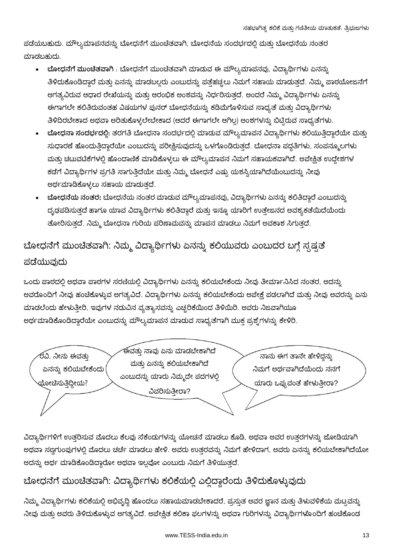ಪಡೆಯಬಹುದು. ಮೌಲ್ಯಮಾಪನವನ್ನು ಬೋಧನೆಗೆ ಮುಂಚಿತವಾಗಿ, ಬೋಧನೆಯ ಸಂದರ್ಭದಲ್ಲಿ ಮತ್ತು ಬೋಧನೆಯ ನಂತರ ಮಾಡಬಹುದು.

- ಬೋಧನೆಗೆ ಮುಂಚಿತವಾಗಿ : ಬೋಧನೆಗೆ ಮುಂಚಿತವಾಗಿ ಮಾಡುವ ಈ ಮೌಲ್ಯಮಾಪನವು, ವಿದ್ಯಾರ್ಥಿಗಳು ಏನನ್ನು ತಿಳಿದುಕೊಂಡಿದ್ದಾರೆ ಮತ್ತು ಏನನ್ನು ಮಾಡಬಲ್ಲರು ಎಂಬುದನ್ನು ಪತ್ತೆಹಚ್ಚಲು ನಿಮಗೆ ಸಹಾಯ ಮಾಡುತ್ತದೆ. ನಿಮ್ಮ ಪಾಠಯೋಜನೆಗೆ ಅಗತ್ಯವಿರುವ ಆಧಾರ ರೇಖೆಯನ್ನು ಮತ್ತು ಆರಂಭಿಕ ಅಂಶವನ್ನು ನಿರ್ಧರಿಸುತ್ತದೆ. ಅಂದರೆ ನಿಮ್ಮ ವಿದ್ಯಾರ್ಥಿಗಳು ಏನನ್ನ<mark>ು</mark> ಈಗಾಗಲೇ ಕಲಿತಿರುವಂತಹ ವಿಷಯಗಳ ಪುನರ್ ಬೋಧನೆಯನ್ನು ಕಡಿಮೆಗೊಳಿಸುವ ಸಾಧ್ಯತೆ ಮತ್ತು ವಿದ್ಯಾರ್ಥಿಗಳು ತಿಳಿದಿರಬೇಕಾದ ಅಥವಾ ಅರಿತುಕೊಳ್ಳಲೇಬೇಕಾದ (ಆದರೆ ಈಗಾಗಲೇ ಆಗಿಲ್ಲ) ಅಂಶಗಳನ್ನು ಬಿಟ್ಟಿರುವ ಸಾಧ್ಯತೆಗಳು.
- ್ಲೋಧನಾ ಸಂದರ್ಭದಲ್ಲಿ: ತರಗತಿ ಬೋಧನಾ ಸಂದರ್ಭದಲ್ಲಿ ಮಾಡುವ ಮೌಲ್ಯಮಾಪನ ವಿದ್ಯಾರ್ಥಿಗಳು ಕಲಿಯುತ್ತಿದ್ದಾರೆಯೇ ಮತ್ತು ಸುಧಾರಣೆ ಹೊಂದುತ್ತಿದ್ದಾರೆಯೇ ಎಂಬುದನ್ನು ಪರೀಕ್ಷಿಸುವುದನ್ನು ಒಳಗೊಂಡಿರುತ್ತದೆ. ಬೋಧನಾ ಪದ್ಧತಿಗಳು, ಸಂಪನ್ಮೂಲಗಳು ಮತ್ತು ಚಟುವಟಿಕೆಗಳಲ್ಲಿ ಹೊಂದಾಣಿಕೆ ಮಾಡಿಕೊಳ್ಳಲು ಈ ಮೌಲ್ಯಮಾಪನ ನಿಮಗೆ ಸಹಾಯಕವಾಗಿದೆ. ಅಪೇಕ್ಷಿತ ಉದ್ದೇಶಗಳ ಕಡೆಗೆ ವಿದ್ಯಾರ್ಥಿಗಳ ಪ್ರಗತಿ ಸಾಗುತ್ತಿದೆಯೇ ಮತ್ತು ನಿಮ್ಮ ಬೋಧನೆ ಎಷ್ಟು ಯಶಸ್ವಿಯಾಗಿದೆಯೆಂಬುದನ್ನು ನೀವು ಅರ್ಥಮಾಡಿಕೊಳ್ಳಲು ಸಹಾಯ ಮಾಡುತ್ತದೆ.
- **ಬೋಧನೆಯ ನಂತರ:** ಬೋಧನೆಯ ನಂತರ ಮಾಡುವ ಮೌಲ್ಯಮಾಪನವು, ವಿದ್ಯಾರ್ಥಿಗಳು ಏನನ್ನು ಕಲಿತಿದ್ದಾರೆ ಎಂಬುದನ್ನು ದೃಢಪಡಿಸುತ್ತದೆ ಹಾಗೂ ಯಾವ ವಿದ್ಯಾರ್ಥಿಗಳು ಕಲಿತಿದ್ದಾರೆ ಮತ್ತು ಇನ್ನೂ ಯಾರಿಗೆ ಉತ್ತೇಜನದ ಅವಶ್ಯಕತೆಯಿದೆಯೆಂದು ತೋರಿಸುತ್ತದೆ. ನಿಮ್ಮ ಬೋಧನಾ ಗುರಿಯ ಪರಿಣಾಮವನ್ನು ಮಾಪನ ಮಾಡಲು ನಿಮಗೆ ಅವಕಾಶ ಸಿಗುತ್ತದೆ.

## ಬೋಧನೆಗೆ ಮುಂಚೆತವಾಗಿ: ನಿಮ್ಮ ವಿದ್ಯಾರ್ಥಿಗಳು ಏನನ್ನು ಕಲಿಯುವರು ಎಂಬುದರ ಬಗ್ಗೆ ಸ್ಪಷ್ಟತೆ ಪಡೆಯುವುದು

ಒಂದು ಪಾಠದಲ್ಲಿ ಅಥವಾ ಪಾಠಗಳ ಸರಣಿಯಲ್ಲಿ ವಿದ್ಯಾರ್ಥಿಗಳು ಏನನ್ನು ಕಲಿಯಬೇಕೆಂದು ನೀವು ತೀರ್ಮಾನಿಸಿದ ನಂತರ, ಅದನ್ನು ಅವರೊಂದಿಗೆ ನೀವು ಹಂಚಿಕೊಳ್ಳುವ ಅಗತ್ಯವಿದೆ. ವಿದ್ಯಾರ್ಥಿಗಳು ಏನನ್ನು ಕಲಿಯಬೇಕೆಂದು ಅಪೇಕ್ಷೆ ಪಡಲಾಗಿದೆ ಮತ್ತು ನೀವು ಅವರನ್ನು ಏನು ಮಾಡಲೆಂದು ಹೇಳುತ್ತೀರಿ, ಇವುಗಳ ನಡುವಿನ ವ್ಯತ್ಯಾಸವನ್ನು ಎಚ್ಚರಿಕೆಯಿಂದ ತಿಳಿಯಿರಿ. ಅವರು ನಿಜವಾಗಿಯೂ ಅರ್ಥಮಾಡಿಕೊಂಡಿದ್ದಾರೆಯೇ ಎಂಬುದನ್ನು ಮೌಲ್ಯಮಾಪನ ಮಾಡುವ ಸಾಧ್ಯತೆಗಾಗಿ ಮುಕ್ತ ಪ್ರಶ್ನೆಗಳನ್ನು ಕೇಳಿರಿ.



ವಿದ್ಯಾರ್ಥಿಗಳಿಗೆ ಉತ್ತರಿಸುವ ಮೊದಲು ಕೆಲವು ಸೆಕೆಂಡುಗಳನ್ನು ಯೋಚನೆ ಮಾಡಲು ಕೊಡಿ, ಅಥವಾ ಅವರ ಉತ್ತರಗಳನ್ನು ಜೋಡಿಯಾಗಿ ಅಥವಾ ಸಣ್ಣಗುಂಪುಗಳಲ್ಲಿ ಮೊದಲು ಚರ್ಚೆ ಮಾಡಲು ಹೇಳಿ. ಅವರು ಉತ್ತರವನ್ನು ನಿಮಗೆ ಹೇಳಿದಾಗ, ಅವರು ಏನನ್ನು ಕಲಿಯಬೇಕಾಗಿದೆಯೋ ಅದನ್ನು ಅರ್ಥ ಮಾಡಿಕೊಂಡಿದ್ದಾರೋ ಅಥವಾ ಇಲ್ಲವೋ ಎಂಬುದು ನಿಮಗೆ ತಿಳಿಯುತ್ತದೆ.

### ಬೋಧನೆಗೆ ಮುಂಚೆತವಾಗಿ: ವಿದ್ಯಾರ್ಥಿಗಳು ಕಲಿಕೆಯಲ್ಲಿ ಎಲ್ಲಿದ್ದಾರೆಂದು ತಿಳಿದುಕೊಳ್ಳುವುದು

ನಿಮ್ಮ ವಿದ್ಯಾರ್ಥಿಗಳು ಕಲಿಕೆಯಲ್ಲಿ ಅಭಿವೃದ್ಧಿ ಹೊಂದಲು ಸಹಾಯಮಾಡಬೇಕಾದರೆ, ಪ್ರಸ್ತುತ ಅವರ ಜ್ಞಾನ ಮತ್ತು ತಿಳುವಳಿಕೆಯ ಮಟ್ಟವನ್ನು ನೀವು ಮತ್ತು ಅವರು ತಿಳಿದುಕೊಳ್ಳುವ ಅಗತ್ಯವಿದೆ. ಅಪೇಕ್ಷಿತ ಕಲಿಕಾ ಫಲಗಳನ್ನು ಅಥವಾ ಗುರಿಗಳನ್ನು ವಿದ್ಯಾರ್ಥಿಗಳೊಂದಿಗೆ ಹಂಚಿಕೊಂಡ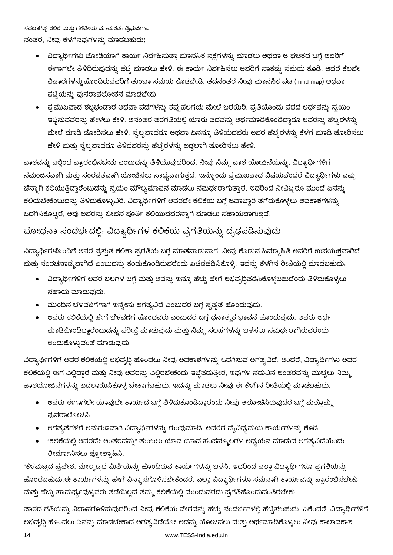ಸಹಭಾಗಿತ್ಸ ಕಲಿಕೆ ಮತ್ತು ಗಣಿತೀಯ ಮಾತುಕತೆ: ತ್ರಿಭುಜಗಳು ನಂತರ, ನೀವು ಕೆಳಗಿನವುಗಳನ್ನು ಮಾಡಬಹುದು:

- ವಿದ್ಯಾರ್ಥಿಗಳು ಜೋಡಿಯಾಗಿ ಕಾರ್ಯ ನಿರ್ವಹಿಸುತ್ತಾ ಮಾನಸಿಕ ನಕ್ಷೆಗಳನ್ನು ಮಾಡಲು ಅಥವಾ ಆ ಘಟಕದ ಬಗ್ಗೆ ಅವರಿಗೆ ಈಗಾಗಲೇ ತಿಳಿದಿರುವುದನ್ನು ಪಟ್ಟಿ ಮಾಡಲು ಹೇಳಿ. ಈ ಕಾರ್ಯ ನಿರ್ವಹಿಸಲು ಅವರಿಗೆ ಸಾಕಷ್ಟು ಸಮಯ ಕೊಡಿ, ಆದರೆ ಕೆಲವೇ ವಿಚಾರಗಳನ್ನು ಹೊಂದಿರುವವರಿಗೆ ತುಂಬಾ ಸಮಯ ಕೊಡಬೇಡಿ. ತದನಂತರ ನೀವು ಮಾನಸಿಕ ಪಟ (mind map) ಅಥವಾ ಪಟ್ಟಿಯನ್ನು ಪುನರಾವಲೋಕನ ಮಾಡಬೇಕು.
- ಪ್ರಮುಖವಾದ ಶಬ್ದಭಂಡಾರ ಅಥವಾ ಪದಗಳನ್ನು ಕಪ್ಪುಹಲಗೆಯ ಮೇಲೆ ಬರೆಯಿರಿ. ಪ್ರತಿಯೊಂದು ಪದದ ಅರ್ಥವನ್ನು ಸ್ವಯಂ ಇಚ್ಛೆಸುವವರನ್ನು ಹೇಳಲು ಕೇಳಿ. ಅನಂತರ ತರಗತಿಯಲ್ಲಿ ಯಾರು ಪದವನ್ನು ಅರ್ಥಮಾಡಿಕೊಂಡಿದ್ದಾರೂ ಅವರನ್ನು ಹೆಬ್ಬರಳನ್ನು ಮೇಲೆ ಮಾಡಿ ತೋರಿಸಲು ಹೇಳಿ, ಸ್ವಲ್ಪವಾದರೂ ಅಥವಾ ಏನನ್ನೂ ತಿಳಿಯದವರು ಅವರ ಹೆಬ್ಬೆರಳನ್ನು ಕೆಳಗೆ ಮಾಡಿ ತೋರಿಸಲು ಹೇಳಿ ಮತ್ತು ಸ್ವಲ್ಪವಾದರೂ ತಿಳಿದವರನ್ನು ಹೆಬ್ಬೆರಳನ್ನು ಅಡ್ಡಲಾಗಿ ತೋರಿಸಲು ಹೇಳಿ.

ಪಾಠವನ್ನು ಎಲ್ಲಿಂದ ಪ್ರಾರಂಭಿಸಬೇಕು ಎಂಬುದನ್ನು ತಿಳಿಯುವುದರಿಂದ, ನೀವು ನಿಮ್ಮ ಪಾಠ ಯೋಜನೆಯನ್ನು, ವಿದ್ಯಾರ್ಥಿಗಳಿಗೆ ಸಮಂಜಸವಾಗಿ ಮತ್ತು ಸಂರಚಿತವಾಗಿ ಯೋಜಿಸಲು ಸಾಧ್ಯವಾಗುತ್ತದೆ. ಇನ್ನೊಂದು ಪ್ರಮುಖವಾದ ವಿಷಯವೆಂದರೆ ವಿದ್ಯಾರ್ಥಿಗಳು ಎಷ್ಟು ಚೆನ್ನಾಗಿ ಕಲಿಯುತ್ತಿದ್ದಾರೆಂಬುದನ್ನು ಸ್ವಯಂ ಮೌಲ್ಯಮಾಪನ ಮಾಡಲು ಸಮರ್ಥರಾಗುತ್ತಾರೆ. ಇದರಿಂದ ನೀವಿಬ್ಬರೂ ಮುಂದೆ ಏನನ್ನು ಕಲಿಯಬೇಕೆಂಬುದನ್ನು ತಿಳಿದುಕೊಳ್ಳುವಿರಿ. ವಿದ್ಯಾರ್ಥಿಗಳಿಗೆ ಅವರದೇ ಕಲಿಕೆಯ ಬಗ್ಗೆ ಜವಾಬ್ದಾರಿ ತೆಗೆದುಕೊಳ್ಳಲು ಅವಕಾಶಗಳನ್ನು ಒದಗಿಸಿಕೊಟ್ಟರೆ, ಅವು ಅವರನ್ನು ಜೀವನ ಪೂರ್ತಿ ಕಲಿಯುವವರನ್ನಾಗಿ ಮಾಡಲು ಸಹಾಯವಾಗುತ್ತದೆ.

## ಬೋಧನಾ ಸಂದರ್ಭದಲ್ಲಿ: ವಿದ್ಯಾರ್ಥಿಗಳ ಕಲಿ<mark>ಕೆಯ ಪ್ರಗತಿಯನ್ನು ದೃಢಪಡಿಸುವುದು</mark>

ವಿದ್ಯಾರ್ಥಿಗಳೊಂದಿಗೆ ಅವರ ಪ್ರಸ್ತುತ ಕಲಿಕಾ ಪ್ರಗತಿಯ ಬಗ್ಗೆ ಮಾತನಾಡುವಾಗ, ನೀವು ಕೊಡುವ ಹಿಮ್ಮಾಹಿತಿ ಅವರಿಗೆ ಉಪಯುಕ್ತವಾಗಿದೆ ಮತ್ತು ಸಂರಚನಾತ್ಮವಾಗಿದೆ ಎಂಬುದನ್ನು ಕಂಡುಕೊಂಡಿರುವರೆಂದು ಖಚಿತಪಡಿಸಿಕೊಳ್ಳಿ. ಇದನ್ನು ಕೆಳಗಿನ ರೀತಿಯಲ್ಲಿ ಮಾಡಬಹುದು.

- ವಿದ್ಯಾರ್ಥಿಗಳಿಗೆ ಅವರ ಬಲಗಳ ಬಗ್ಗೆ ಮತ್ತು ಅವನ್ನು ಇನ್ನೂ ಹೆಚ್ಚು ಹೇಗೆ ಅಭಿವೃದ್ಧಿಪಡಿಸಿಕೊಳ್ಳಬಹುದೆಂದು ತಿಳಿದುಕೊಳ್ಳಲು ಸಹಾಯ ಮಾಡುವುದು.
- ಮುಂದಿನ ಬೆಳವಣಿಗೆಗಾಗಿ ಇನ್ತೇನು ಅಗತ್ಯವಿದೆ ಎಂಬುದರ ಬಗ್ಗೆ ಸ್ಪಷ್ಟತೆ ಹೊಂದುವುದು.
- ಅವರು ಕಲಿಕೆಯಲ್ಲಿ ಹೇಗೆ ಬೆಳವಣಿಗೆ ಹೊಂದವರು ಎಂಬುದರ ಬಗ್ಗೆ ಧನಾತ್ಮಕ ಭಾವನೆ ಹೊಂದುವುದು, ಅವರು ಅರ್ಥ ಮಾಡಿಕೊಂಡಿದ್ದಾರೆಂಬುದನ್ನು ಪರೀಕ್ಷೆ ಮಾಡುವುದು ಮತ್ತು ನಿಮ್ಮ ಸಲಹೆಗಳನ್ನು ಬಳಸಲು ಸಮರ್ಥರಾಗಿರುವರೆಂದು ಅಂದುಕೊಳ್ಳುವಂತೆ ಮಾಡುವುದು.

ವಿದ್ಯಾರ್ಥಿಗಳಿಗೆ ಅವರ ಕಲಿಕೆಯಲ್ಲಿ ಅಭಿವೃದ್ಧಿ ಹೊಂದಲು ನೀವು ಅವಕಾಶಗಳನ್ನು ಒದಗಿಸುವ ಅಗತ್ಯವಿದೆ. ಅಂದರೆ, ವಿದ್ಯಾರ್ಥಿಗಳು ಅವರ ಕಲಿಕೆಯಲ್ಲಿ ಈಗ ಎಲ್ಲಿದ್ದಾರೆ ಮತ್ತು ನೀವು ಅವರನ್ನು ಎಲ್ಲಿರಬೇಕೆಂದು ಇಚ್ಛೆಪಡುತ್ತೀರ, ಇವುಗಳ ನಡುವಿನ ಅಂತರವನ್ನು ಮುಚ್ಚಲು ನಿಮ್ಮ ಪಾಠಯೋಜನೆಗಳನ್ನು ಬದಲಾಯಿಸಿಕೊಳ್ಳ ಬೇಕಾಗಬಹುದು. ಇದನ್ನು ಮಾಡಲು ನೀವು ಈ ಕೆಳಗಿನ ರೀತಿಯಲ್ಲಿ ಮಾಡಬಹುದು.

- ಅವರು ಈಗಾಗಲೇ ಯಾವುದೇ ಕಾರ್ಯದ ಬಗ್ಗೆ ತಿಳಿದುಕೊಂಡಿದ್ದಾರೆಂದು ನೀವು ಆಲೋಚಿಸಿರುವುದರ ಬಗ್ಗೆ ಮತ್ತೊಮ್ಮೆ ಫುನರಾಲೋಚಿಸಿ.
- ಅಗತ್ಯತೆಗಳಿಗೆ ಅನುಗುಣವಾಗಿ ವಿದ್ಯಾರ್ಥಿಗಳನ್ನು ಗುಂಪುಮಾಡಿ. ಅವರಿಗೆ ವೈವಿಧ್ಯಮಯ ಕಾರ್ಯಗಳನ್ನು ಕೊಡಿ.
- "ಕಲಿಕೆಯಲ್ಲಿ ಅವರದೇ ಅಂತರವನ್ನು" ತುಂಬಲು ಯಾವ ಯಾವ ಸಂಪನ್ಮೂಲಗಳ ಅಧ್ಯಯನ ಮಾಡುವ ಅಗತ್ಯವಿದೆಯೆಂದು ತೀರ್ಮಾನಿಸಲು ಪ್ರೋತ್ಸಾಹಿಸಿ.

"ಕೆಳಮಟ್ಟದ ಪ್ರವೇಶ, ಮೇಲ್ಮಟ್ಟದ ಮಿತಿ"ಯನ್ನು ಹೊಂದಿರುವ ಕಾರ್ಯಗಳನ್ನು ಬಳಸಿ. ಇದರಿಂದ ಎಲ್ಲಾ ವಿದ್ಯಾರ್ಥಿಗಳೂ ಪ್ರಗತಿಯನ್ನು ಹೊಂದಬಹುದು.ಈ ಕಾರ್ಯಗಳನ್ನು ಹೇಗೆ ವಿನ್ಯಾಸಗೊಳಿಸಬೇಕೆಂದರೆ, ಎಲ್ಲಾ ವಿದ್ಯಾರ್ಥಿಗಳೂ ಸಮನಾಗಿ ಕಾರ್ಯವನ್ನು ಪ್ರಾರಂಭಿಸಬೇಕು ಮತ್ತು ಹೆಚ್ಚು ಸಾಮರ್ಥ್ಯವುಳ್ಳವರು ತಡೆಯಿಲ್ಲದೆ ತಮ್ಮ ಕಲಿಕೆಯಲ್ಲಿ ಮುಂದುವರೆದು ಪ್ರಗತಿಹೊಂದುವಂತಿರಬೇಕು.

ಪಾಠದ ಗತಿಯನ್ನು ನಿಧಾನಗೊಳಿಸುವುದರಿಂದ ನೀವು ಕಲಿಕೆಯ ವೇಗವನ್ನು ಹೆಚ್ಚು ಸಂದರ್ಭಗಳಲ್ಲಿ ಹೆಚ್ಚಿಸಬಹುದು. ಏಕೆಂದರೆ, ವಿದ್ಯಾರ್ಥಿಗಳಿಗ ಅಭಿವೃದ್ಧಿ ಹೊಂದಲು ಏನನ್ನು ಮಾಡಬೇಕಾದ ಅಗತ್ಯವಿದೆಯೋ ಅದನ್ನು ಯೋಚಿಸಲು ಮತ್ತು ಅರ್ಥಮಾಡಿಕೊಳ್ಳಲು ನೀವು ಕಾಲಾವಕಾಶ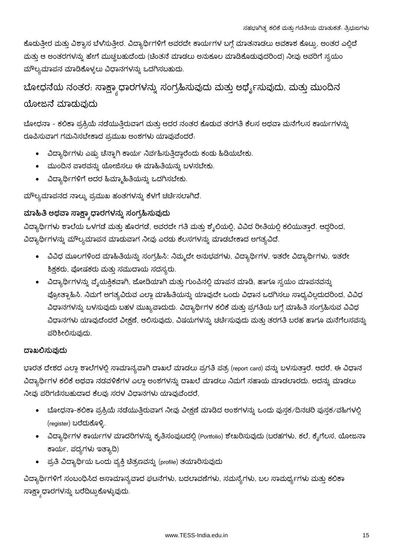ಕೊಡುತ್ತೀರ ಮತ್ತು ವಿಶ್ವಾಸ ಬೆಳೆಸುತ್ತೀರ. ವಿದ್ಯಾರ್ಥಿಗಳಿಗೆ ಅವರದೇ ಕಾರ್ಯಗಳ ಬಗ್ಗೆ ಮಾತನಾಡಲು ಅವಕಾಶ ಕೊಟ್ಟು, ಅಂತರ ಎಲ್ಲಿದೆ ಮತ್ತು ಆ ಅಂತರಗಳನ್ನು ಹೇಗೆ ಮುಚ್ಚಬಹುದೆಂದು (ಚಿಂತನೆ ಮಾಡಲು ಅನುಕೂಲ ಮಾಡಿಕೊಡುವುದರಿಂದ) ನೀವು ಅವರಿಗೆ ಸ್ವಯಂ ಮೌಲ್ಯಮಾಪನ ಮಾಡಿಕೊಳ್ಳಲು ವಿಧಾನಗಳನ್ನು ಒದಗಿಸಬಹುದು.

### ಬೋಧನೆಯ ನಂತರ: ಸಾಕ್ಷ್ಯಾಧಾರಗಳನ್ನು ಸಂಗ್ರಹಿಸುವುದು ಮತ್ತು ಅರ್ಥೈಸುವುದು, ಮತ್ತು ಮುಂದಿನ ಯೋಜನೆ ಮಾಡುವುದು

ಬೋಧನಾ - ಕಲಿಕಾ ಪ್ರಕ್ರಿಯೆ ನಡೆಯುತ್ತಿರುವಾಗ ಮತ್ತು ಅದರ ನಂತರ ಕೊಡುವ ತರಗತಿ ಕೆಲಸ ಅಥವಾ ಮನೆಗೆಲಸ ಕಾರ್ಯಗಳನ್ನು ರೂಪಿಸುವಾಗ ಗಮನಿಸಬೇಕಾದ ಪ್ರಮುಖ ಅಂಶಗಳು ಯಾವುವೆಂದರೆ.

- ವಿದ್ಯಾರ್ಥಿಗಳು ಎಷ್ಟು ಚೆನ್ನಾಗಿ ಕಾರ್ಯ ನಿರ್ವಹಿಸುತ್ತಿದ್ದಾರೆಂದು ಕಂಡು ಹಿಡಿಯಬೇಕು.
- ಮುಂದಿನ ಪಾಠವನ್ನು ಯೋಜಿಸಲು ಈ ಮಾಹಿತಿಯನ್ನು ಬಳಸಬೇಕು.
- ವಿದ್ಯಾರ್ಥಿಗಳಿಗೆ ಅದರ ಹಿಮ್ಮಾಹಿತಿಯನ್ನು ಒದಗಿಸಬೇಕು.

ಮೌಲ್ಯಮಾಪನದ ನಾಲ್ಕು ಪ್ರಮುಖ ಹಂತಗಳನ್ನು ಕೆಳಗೆ ಚರ್ಚಿಸಲಾಗಿದೆ.

#### ಮಾಹಿತಿ ಅಥವಾ ಸಾಕ್ಷ್ಮಾಧಾರಗಳನ್ನು ಸಂಗ್ರಹಿಸುವುದು

ವಿದ್ಯಾರ್ಥಿಗಳು ಶಾಲೆಯ ಒಳಗಡೆ ಮತ್ತು ಹೊರಗಡೆ, ಅವರದೇ ಗತಿ ಮತ್ತು ಶೈಲಿಯಲ್ಲಿ, ವಿವಿದ ರೀತಿಯಲ್ಲಿ ಕಲಿಯುತ್ತಾರೆ. ಆದ್ದರಿಂದ, ವಿದ್ಯಾರ್ಥಿಗಳನ್ನು ಮೌಲ್ಯಮಾಪನ ಮಾಡುವಾಗ ನೀವು ಎರಡು ಕೆಲಸಗಳನ್ನು ಮಾಡಬೇಕಾದ ಅಗತ್ಯವಿದೆ.

- ವಿವಿಧ ಮೂಲಗಳಿಂದ ಮಾಹಿತಿಯನ್ನು ಸಂಗ್ರಹಿಸಿ: ನಿಮ್ಮದೇ ಅನುಭವಗಳು, ವಿದ್ಯಾರ್ಥಿಗಳ, ಇತರೇ ವಿದ್ಯಾರ್ಥಿಗಳು, ಇತರೇ ಶಿಕ್ಷಕರು, ಪೋಷಕರು ಮತ್ತು ಸಮುದಾಯ ಸದಸ್ಯರು.
- ವಿದ್ಯಾರ್ಥಿಗಳನ್ನು ವೈಯಕ್ತಿಕವಾಗಿ, ಜೋಡಿಯಾಗಿ ಮತ್ತು ಗುಂಪಿನಲ್ಲಿ ಮಾಪನ ಮಾಡಿ, ಹಾಗೂ ಸ್ವಯಂ ಮಾಪನವನ್ನು ಪ್ರೋತ್ಸಾಹಿಸಿ. ನಿಮಗೆ ಅಗತ್ಯವಿರುವ ಎಲ್ಲಾ ಮಾಹಿತಿಯನ್ನು ಯಾವುದೇ ಒಂದು ವಿಧಾನ ಒದಗಿಸಲು ಸಾಧ್ಯವಿಲ್ಲದುದರಿಂದ, ವಿವಿಧ ವಿಧಾನಗಳನ್ನು ಬಳಸುವುದು ಬಹಳ ಮುಖ್ಯವಾದುದು. ವಿದ್ಯಾರ್ಥಿಗಳ ಕಲಿಕೆ ಮತ್ತು ಪ್ರಗತಿಯ ಬಗ್ಗೆ ಮಾಹಿತಿ ಸಂಗ್ರಹಿಸುವ ವಿವಿಧ ವಿಧಾನಗಳು ಯಾವುದೆಂದರೆ ವೀಕ್ಷಣೆ, ಆಲಿಸುವುದು, ವಿಷಯಗಳನ್ನು ಚರ್ಚಿಸುವುದು ಮತ್ತು ತರಗತಿ ಬರಹ ಹಾಗೂ ಮನೆಗೆಲಸವನ್ನು ಪರಿಶೀಲಿಸುವುದು.

#### ದಾಖಲಿಸುವುದು

ಭಾರತ ದೇಶದ ಎಲ್ಲಾ ಶಾಲೆಗಳಲ್ಲಿ ಸಾಮಾನ್ಯವಾಗಿ ದಾಖಲೆ ಮಾಡಲು ಪ್ರಗತಿ ಪತ್ರ (report card) ವನ್ನು ಬಳಸುತ್ತಾರೆ. ಆದರೆ, ಈ ವಿಧಾನ ವಿದ್ಯಾರ್ಥಿಗಳ ಕಲಿಕೆ ಅಥವಾ ನಡವಳಿಕೆಗಳ ಎಲ್ಲಾ ಅಂಶಗಳನ್ನು ದಾಖಲೆ ಮಾಡಲು ನಿಮಗೆ ಸಹಾಯ ಮಾಡಲಾರದು. ಅದನ್ನು ಮಾಡಲು ನೀವು ಪರಿಗಣಿಸಬಹುದಾದ ಕೆಲವು ಸರಳ ವಿಧಾನಗಳು ಯಾವುವೆಂದರೆ,

- ಬೋಧನಾ-ಕಲಿಕಾ ಪ್ರಕ್ರಿಯೆ ನಡೆಯುತ್ತಿರುವಾಗ ನೀವು ವೀಕ್ಷಣೆ ಮಾಡಿದ ಅಂಶಗಳನ್ನು ಒಂದು ಪುಸ್ತಕ∕ದಿನಚರಿ ಪುಸ್ತಕ∕ವಹಿಗಳಲ್ಲಿ (register) ಬರೆದುಕೊಳ್ಳಿ.
- ವಿದ್ಯಾರ್ಥಿಗಳ ಕಾರ್ಯಗಳ ಮಾದರಿಗಳನ್ನು ಕೃತಿಸಂಪುಟದಲ್ಲಿ (Portfolio) ಶೇಖರಿಸುವುದು (ಬರಹಗಳು, ಕಲೆ, ಕೈಗೆಲಸ, ಯೋಜನಾ ಕಾರ್ಯ, ಪದ್ಯಗಳು ಇತ್ಯಾದಿ)
- ಪ್ರತಿ ವಿದ್ಯಾರ್ಥಿಯ ಒಂದು ವ್ಯಕ್ತಿ ಚಿತ್ರಣವನ್ನು (profile) ತಯಾರಿಸುವುದು

ವಿದ್ಯಾರ್ಥಿಗಳಿಗೆ ಸಂಬಂಧಿಸಿದ ಅಸಾಮಾನ್ಯವಾದ ಘಟನೆಗಳು, ಬದಲಾವಣೆಗಳು, ಸಮಸ್ಯೆಗಳು, ಬಲ ಸಾಮರ್ಥ್ಯಗಳು ಮತ್ತು ಕಲಿಕಾ ಸಾಕ್ಷ್ಯಾಧಾರಗಳನ್ನು ಬರೆದಿಟ್ಟುಕೊಳ್ಳುವುದು.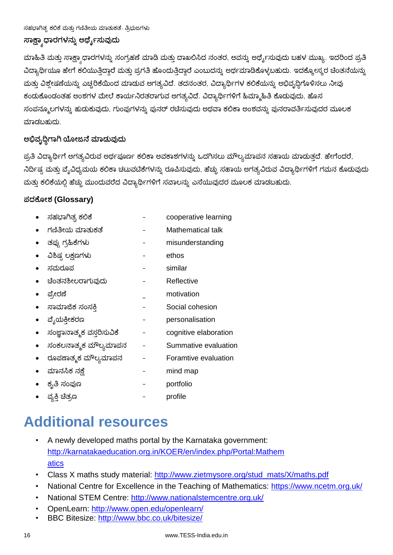## ಸಾಕ್ಷ್ಯಾಧಾರಗಳನ್ನು ಅರ್ಥೈಸುವುದು

ಮಾಹಿತಿ ಮತ್ತು ಸಾಕ್ಷಾ ಧಾರಗಳನ್ನು ಸಂಗ್ರಹಣೆ ಮಾಡಿ ಮತ್ತು ದಾಖಲಿಸಿದ ನಂತರ, ಅವನ್ನು ಅರ್ಥ್ಯೆಸುವುದು ಬಹಳ ಮುಖ್ಯ. ಇದರಿಂದ ಪ್ರತಿ ವಿದ್ಯಾರ್ಥಿಯೂ ಹೇಗೆ ಕಲಿಯುತ್ತಿದ್ದಾರೆ ಮತ್ತು ಪ್ರಗತಿ ಹೊಂದುತ್ತಿದ್ದಾರೆ ಎಂಬುದನ್ನು ಅರ್ಥಮಾಡಿಕೊಳ್ಳಬಹುದು. ಇದಕ್ಕೋಸ್ಕರ ಚಿಂತನೆಯನ್ನು ಮತ್ತು ವಿಶ್ಲೇಷಣೆಯನ್ನು ಎಚ್ಚರಿಕೆಯಿಂದ ಮಾಡುವ ಅಗತ್ಯವಿದೆ. ತದನಂತರ, ವಿದ್ಯಾರ್ಥಿಗಳ ಕಲಿಕೆಯನ್ನು ಅಭಿವೃದ್ಧಿಗೊಳಿಸಲು ನೀವು ಕಂಡುಕೊಂಡಂತಹ ಅಂಶಗಳ ಮೇಲೆ ಕಾರ್ಯನಿರತರಾಗುವ ಅಗತ್ಯವಿದೆ. ವಿದ್ಯಾರ್ಥಿಗಳಿಗೆ ಹಿಮ್ಮಾಹಿತಿ ಕೊಡುವುದು, ಹೊಸ ಸಂಪನ್ಮೂಲಗಳನ್ನು ಹುಡುಕುವುದು, ಗುಂಪುಗಳನ್ನು ಪುನರ್ ರಚೆಸುವುದು ಅಥವಾ ಕಲಿಕಾ ಅಂಶವನ್ನು ಪುನರಾವರ್ತಿಸುವುದರ ಮೂಲಕ ಮಾಡಬಹುದು.

#### ಅಭಿವೃದ್ಧಿಗಾಗಿ ಯೋಜನೆ ಮಾಡುವುದು

ಪ್ರತಿ ವಿದ್ಯಾರ್ಥಿಗೆ ಅಗತ್ಯವಿರುವ ಅರ್ಥಪೂರ್ಣ ಕಲಿಕಾ ಅವಕಾಶಗಳನ್ನು ಒದಗಿಸಲು ಮೌಲ್ಯಮಾಪನ ಸಹಾಯ ಮಾಡುತ್ತದೆ. ಹೇಗೆಂದರೆ, ನಿರ್ದಿಷ್ಟ ಮತ್ತು ವ್ಯೆವಿಧ್ಯಮಯ ಕಲಿಕಾ ಚಟುವಟಿಕೆಗಳನ್ನು ರೂಪಿಸುವುದು, ಹೆಚ್ಚು ಸಹಾಯ ಅಗತ್ಯವಿರುವ ವಿದ್ಯಾರ್ಥಿಗಳಿಗೆ ಗಮನ ಕೊಡುವುದು ಮತ್ತು ಕಲಿಕೆಯಲ್ಲಿ ಹೆಚ್ಚು ಮುಂದುವರೆದ ವಿದ್ಯಾರ್ಥಿಗಳಿಗೆ ಸವಾಲನ್ನು ಎಸೆಯುವುದರ ಮೂಲಕ ಮಾಡಬಹುದು.

#### **(Glossary)**

| ಸಹಭಾಗಿತ್ವ ಕಲಿಕೆ           | cooperative learning  |
|---------------------------|-----------------------|
| ಗಣಿತೀಯ ಮಾತುಕತೆ            | Mathematical talk     |
| ತಪ್ಪು ಗ್ರಹಿಕೆಗಳು          | misunderstanding      |
| ವಿಶಿಷ್ಠ ಲಕ್ಷಣಗಳು          | ethos                 |
| ಸಮರೂಪ                     | similar               |
| ಚೆಂತನಶೀಲರಾಗುವುದು          | Reflective            |
| ಪ್ರೇರಣೆ                   | motivation            |
| ಸಾಮಾಜಿಕ ಸಂಸಕಿ             | Social cohesion       |
| ವೈಯಕ್ತೀಕರಣ                | personalisation       |
| ಸಂಜ್ಞಾನಾತ್ಮಕ ವಸ್ತರಿಸುವಿಕೆ | cognitive elaboration |
| ಸಂಕಲನಾತ್ಮಕ ಮೌಲ್ಯಮಾಪನ      | Summative evaluation  |
| ರೂಪಣಾತ್ಮಕ ಮೌಲ್ಯಮಾಪನ       | Foramtive evaluation  |
| ಮಾನಸಿಕ ನಕ್ಷೆ              | mind map              |
| ಕೃತಿ ಸಂಪುಣ                | portfolio             |
| ವ್ಯಕ್ತಿ ಚಿತ್ರಣ            | profile               |

# **Additional resources**

- A newly developed maths portal by the Karnataka government: http://karnatakaeducation.org.in/KOER/en/index.php/Portal:Mathem atics
- Class X maths study material: http://www.zietmysore.org/stud\_mats/X/maths.pdf
- National Centre for Excellence in the Teaching of Mathematics: https://www.ncetm.org.uk/
- National STEM Centre: http://www.nationalstemcentre.org.uk/
- OpenLearn: http://www.open.edu/openlearn/
- BBC Bitesize: http://www.bbc.co.uk/bitesize/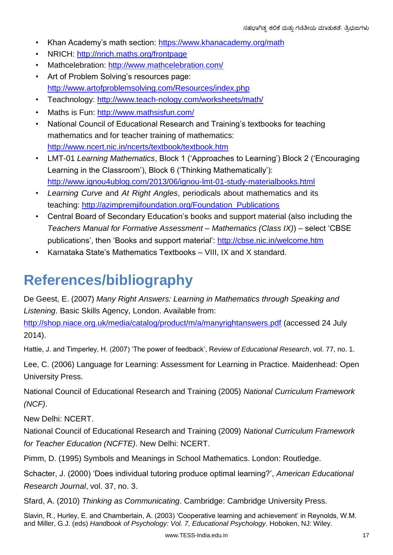- Khan Academy's math section: https://www.khanacademy.org/math
- NRICH: http://nrich.maths.org/frontpage
- Mathcelebration: http://www.mathcelebration.com/
- Art of Problem Solving's resources page: http://www.artofproblemsolving.com/Resources/index.php
- Teachnology: http://www.teach-nology.com/worksheets/math/
- Maths is Fun: http://www.mathsisfun.com/
- National Council of Educational Research and Training's textbooks for teaching mathematics and for teacher training of mathematics: http://www.ncert.nic.in/ncerts/textbook/textbook.htm
- LMT-01 *Learning Mathematics*, Block 1 ('Approaches to Learning') Block 2 ('Encouraging Learning in the Classroom'), Block 6 ('Thinking Mathematically'): http://www.ignou4ublog.com/2013/06/ignou-lmt-01-study-materialbooks.html
- *Learning Curve* and *At Right Angles*, periodicals about mathematics and its teaching: http://azimpremjifoundation.org/Foundation\_Publications
- Central Board of Secondary Education's books and support material (also including the *Teachers Manual for Formative Assessment – Mathematics (Class IX)*) – select 'CBSE publications', then 'Books and support material': http://cbse.nic.in/welcome.htm
- Karnataka State's Mathematics Textbooks VIII, IX and X standard.

## **References/bibliography**

De Geest, E. (2007) *Many Right Answers: Learning in Mathematics through Speaking and Listening*. Basic Skills Agency, London. Available from:

http://shop.niace.org.uk/media/catalog/product/m/a/manyrightanswers.pdf (accessed 24 July 2014).

Hattie, J. and Timperley, H. (2007) 'The power of feedback', R*eview of Educational Research*, vol. 77, no. 1.

Lee, C. (2006) Language for Learning: Assessment for Learning in Practice. Maidenhead: Open University Press.

National Council of Educational Research and Training (2005) *National Curriculum Framework (NCF)*.

New Delhi: NCERT.

National Council of Educational Research and Training (2009) *National Curriculum Framework for Teacher Education (NCFTE)*. New Delhi: NCERT.

Pimm, D. (1995) Symbols and Meanings in School Mathematics. London: Routledge.

Schacter, J. (2000) 'Does individual tutoring produce optimal learning?', *American Educational Research Journal*, vol. 37, no. 3.

Sfard, A. (2010) *Thinking as Communicating*. Cambridge: Cambridge University Press.

Slavin, R., Hurley, E. and Chamberlain, A. (2003) 'Cooperative learning and achievement' in Reynolds, W.M. and Miller, G.J. (eds) *Handbook of Psychology: Vol. 7, Educational Psychology*. Hoboken, NJ: Wiley.